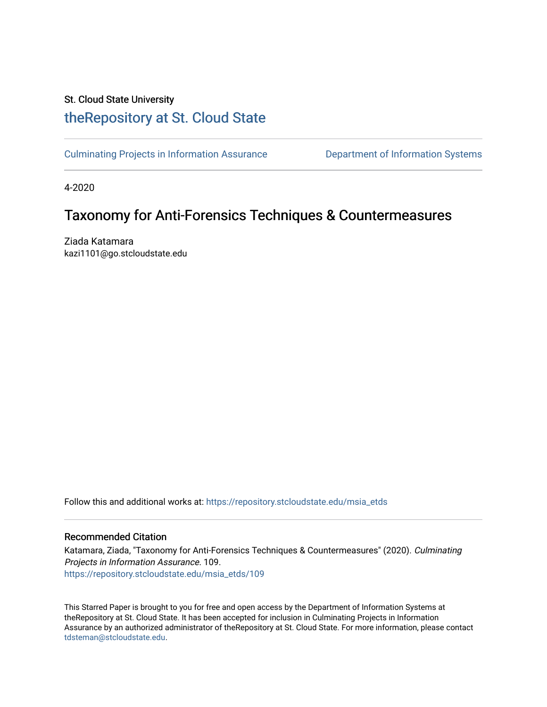## St. Cloud State University [theRepository at St. Cloud State](https://repository.stcloudstate.edu/)

[Culminating Projects in Information Assurance](https://repository.stcloudstate.edu/msia_etds) **Department of Information Systems** 

4-2020

# Taxonomy for Anti-Forensics Techniques & Countermeasures

Ziada Katamara kazi1101@go.stcloudstate.edu

Follow this and additional works at: [https://repository.stcloudstate.edu/msia\\_etds](https://repository.stcloudstate.edu/msia_etds?utm_source=repository.stcloudstate.edu%2Fmsia_etds%2F109&utm_medium=PDF&utm_campaign=PDFCoverPages)

#### Recommended Citation

Katamara, Ziada, "Taxonomy for Anti-Forensics Techniques & Countermeasures" (2020). Culminating Projects in Information Assurance. 109. [https://repository.stcloudstate.edu/msia\\_etds/109](https://repository.stcloudstate.edu/msia_etds/109?utm_source=repository.stcloudstate.edu%2Fmsia_etds%2F109&utm_medium=PDF&utm_campaign=PDFCoverPages)

This Starred Paper is brought to you for free and open access by the Department of Information Systems at theRepository at St. Cloud State. It has been accepted for inclusion in Culminating Projects in Information Assurance by an authorized administrator of theRepository at St. Cloud State. For more information, please contact [tdsteman@stcloudstate.edu](mailto:tdsteman@stcloudstate.edu).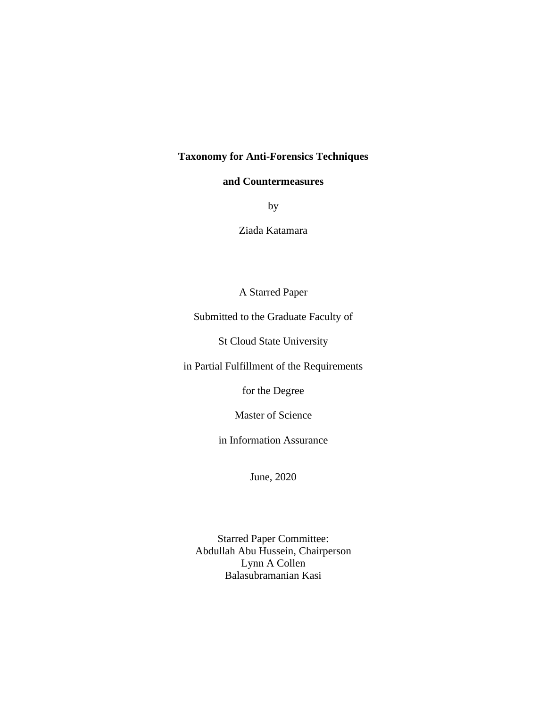## **Taxonomy for Anti-Forensics Techniques**

#### **and Countermeasures**

by

Ziada Katamara

A Starred Paper

Submitted to the Graduate Faculty of

St Cloud State University

in Partial Fulfillment of the Requirements

for the Degree

Master of Science

in Information Assurance

June, 2020

Starred Paper Committee: Abdullah Abu Hussein, Chairperson Lynn A Collen Balasubramanian Kasi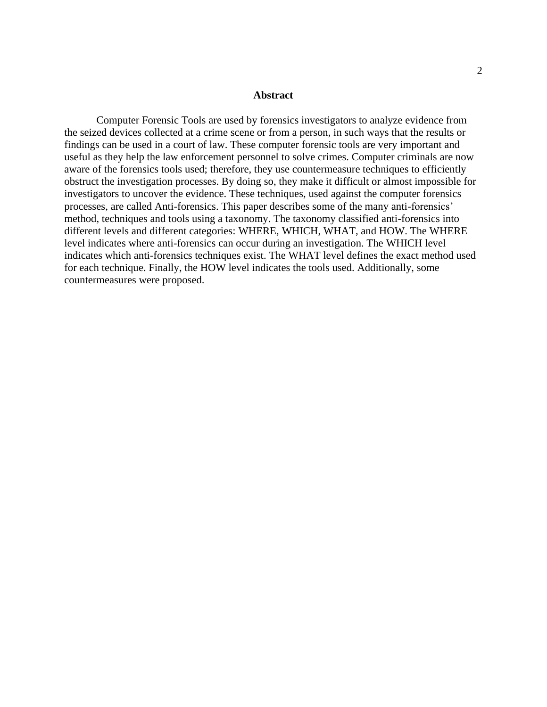#### **Abstract**

Computer Forensic Tools are used by forensics investigators to analyze evidence from the seized devices collected at a crime scene or from a person, in such ways that the results or findings can be used in a court of law. These computer forensic tools are very important and useful as they help the law enforcement personnel to solve crimes. Computer criminals are now aware of the forensics tools used; therefore, they use countermeasure techniques to efficiently obstruct the investigation processes. By doing so, they make it difficult or almost impossible for investigators to uncover the evidence. These techniques, used against the computer forensics processes, are called Anti-forensics. This paper describes some of the many anti-forensics' method, techniques and tools using a taxonomy. The taxonomy classified anti-forensics into different levels and different categories: WHERE, WHICH, WHAT, and HOW. The WHERE level indicates where anti-forensics can occur during an investigation. The WHICH level indicates which anti-forensics techniques exist. The WHAT level defines the exact method used for each technique. Finally, the HOW level indicates the tools used. Additionally, some countermeasures were proposed.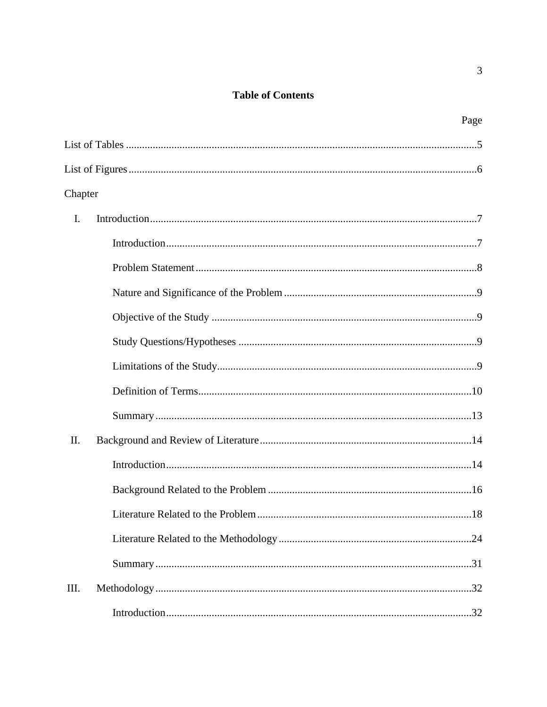## **Table of Contents**

|                | Page |
|----------------|------|
|                |      |
|                |      |
| Chapter        |      |
| $\mathbf{I}$ . |      |
|                |      |
|                |      |
|                |      |
|                |      |
|                |      |
|                |      |
|                |      |
|                |      |
| Π.             |      |
|                |      |
|                |      |
|                | .18  |
|                |      |
|                |      |
| III.           |      |
|                |      |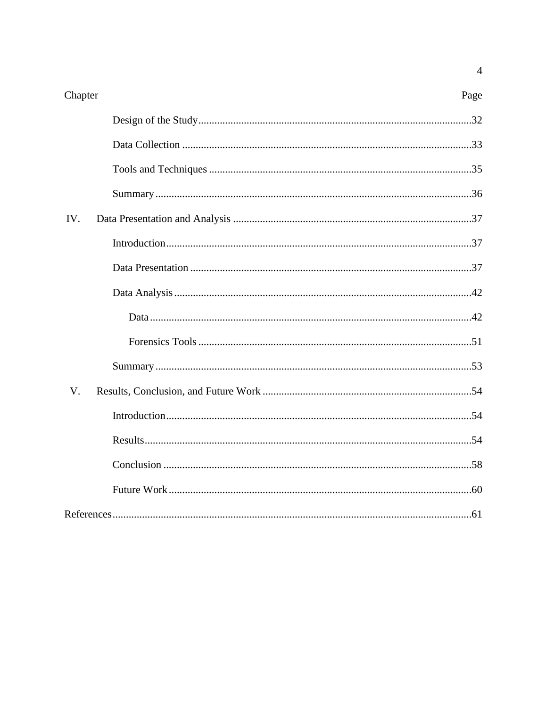| Chapter | Page |
|---------|------|
|         |      |
|         |      |
|         |      |
|         |      |
| IV.     |      |
|         |      |
|         |      |
|         |      |
|         |      |
|         |      |
|         |      |
| V.      |      |
|         |      |
|         |      |
|         |      |
|         |      |
|         |      |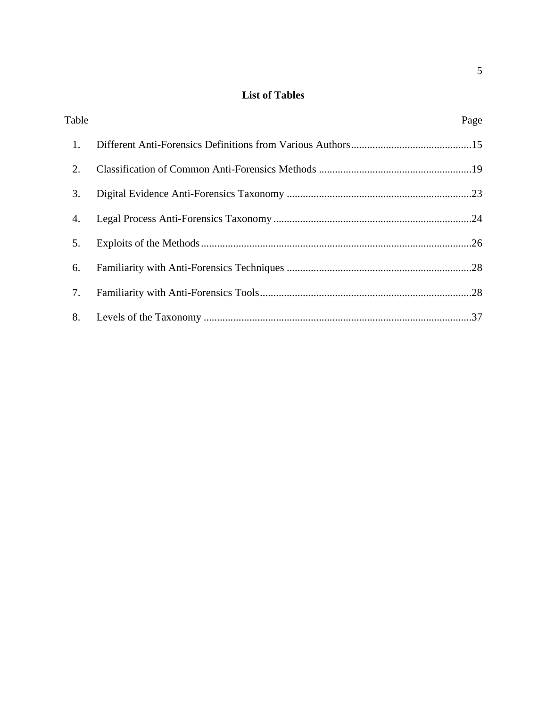## **List of Tables**

| Table | Page |
|-------|------|
| 1.    |      |
| 2.    |      |
| 3.    |      |
| 4.    |      |
| 5.    |      |
| 6.    |      |
| 7.    |      |
| 8.    |      |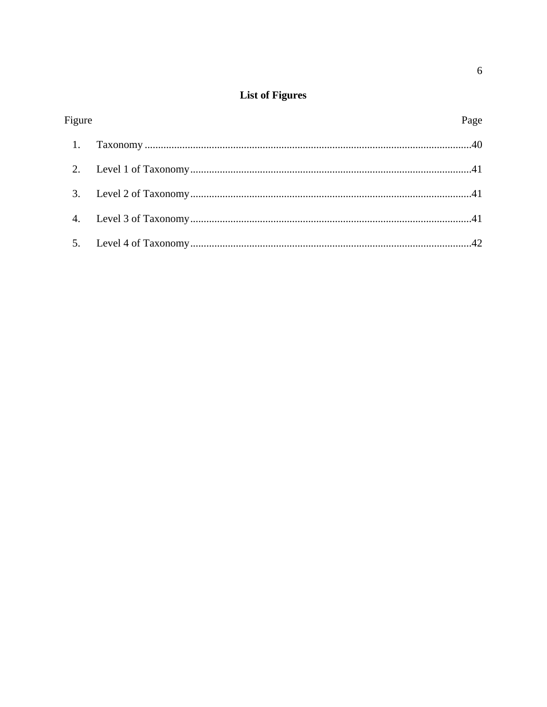# **List of Figures**

| Figure | Page |
|--------|------|
|        |      |
|        |      |
|        |      |
|        |      |
|        |      |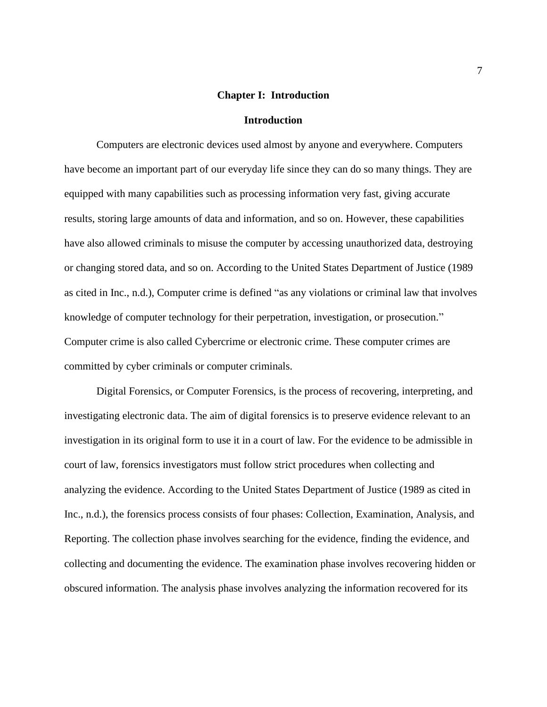#### **Chapter I: Introduction**

#### **Introduction**

Computers are electronic devices used almost by anyone and everywhere. Computers have become an important part of our everyday life since they can do so many things. They are equipped with many capabilities such as processing information very fast, giving accurate results, storing large amounts of data and information, and so on. However, these capabilities have also allowed criminals to misuse the computer by accessing unauthorized data, destroying or changing stored data, and so on. According to the United States Department of Justice (1989 as cited in Inc., n.d.), Computer crime is defined "as any violations or criminal law that involves knowledge of computer technology for their perpetration, investigation, or prosecution." Computer crime is also called Cybercrime or electronic crime. These computer crimes are committed by cyber criminals or computer criminals.

Digital Forensics, or Computer Forensics, is the process of recovering, interpreting, and investigating electronic data. The aim of digital forensics is to preserve evidence relevant to an investigation in its original form to use it in a court of law. For the evidence to be admissible in court of law, forensics investigators must follow strict procedures when collecting and analyzing the evidence. According to the United States Department of Justice (1989 as cited in Inc., n.d.), the forensics process consists of four phases: Collection, Examination, Analysis, and Reporting. The collection phase involves searching for the evidence, finding the evidence, and collecting and documenting the evidence. The examination phase involves recovering hidden or obscured information. The analysis phase involves analyzing the information recovered for its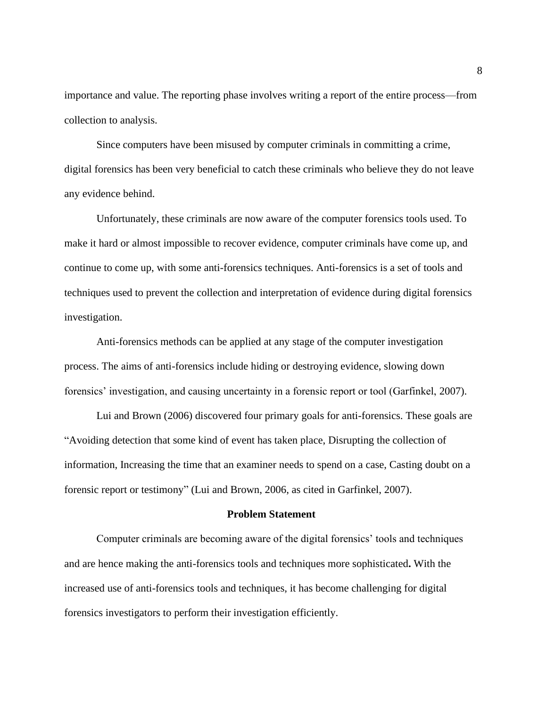importance and value. The reporting phase involves writing a report of the entire process—from collection to analysis.

Since computers have been misused by computer criminals in committing a crime, digital forensics has been very beneficial to catch these criminals who believe they do not leave any evidence behind.

Unfortunately, these criminals are now aware of the computer forensics tools used. To make it hard or almost impossible to recover evidence, computer criminals have come up, and continue to come up, with some anti-forensics techniques. Anti-forensics is a set of tools and techniques used to prevent the collection and interpretation of evidence during digital forensics investigation.

Anti-forensics methods can be applied at any stage of the computer investigation process. The aims of anti-forensics include hiding or destroying evidence, slowing down forensics' investigation, and causing uncertainty in a forensic report or tool (Garfinkel, 2007).

Lui and Brown (2006) discovered four primary goals for anti-forensics. These goals are "Avoiding detection that some kind of event has taken place, Disrupting the collection of information, Increasing the time that an examiner needs to spend on a case, Casting doubt on a forensic report or testimony" (Lui and Brown, 2006, as cited in Garfinkel, 2007).

#### **Problem Statement**

Computer criminals are becoming aware of the digital forensics' tools and techniques and are hence making the anti-forensics tools and techniques more sophisticated**.** With the increased use of anti-forensics tools and techniques, it has become challenging for digital forensics investigators to perform their investigation efficiently.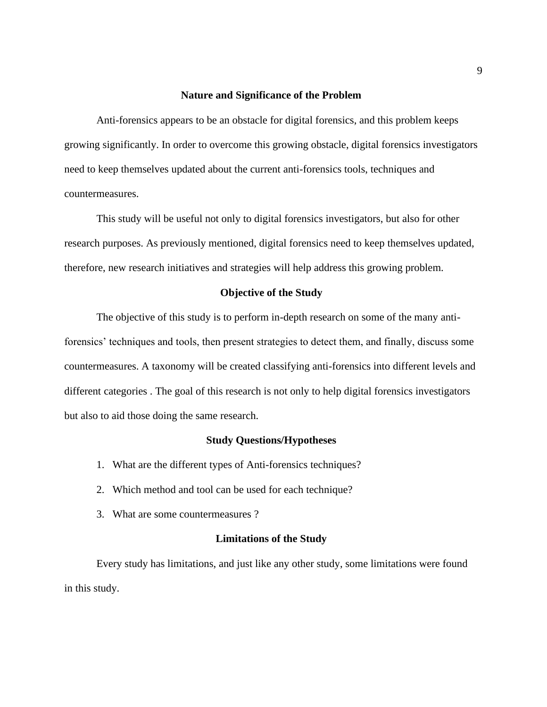#### **Nature and Significance of the Problem**

Anti-forensics appears to be an obstacle for digital forensics, and this problem keeps growing significantly. In order to overcome this growing obstacle, digital forensics investigators need to keep themselves updated about the current anti-forensics tools, techniques and countermeasures.

This study will be useful not only to digital forensics investigators, but also for other research purposes. As previously mentioned, digital forensics need to keep themselves updated, therefore, new research initiatives and strategies will help address this growing problem.

#### **Objective of the Study**

The objective of this study is to perform in-depth research on some of the many antiforensics' techniques and tools, then present strategies to detect them, and finally, discuss some countermeasures. A taxonomy will be created classifying anti-forensics into different levels and different categories . The goal of this research is not only to help digital forensics investigators but also to aid those doing the same research.

#### **Study Questions/Hypotheses**

- 1. What are the different types of Anti-forensics techniques?
- 2. Which method and tool can be used for each technique?
- 3. What are some countermeasures ?

#### **Limitations of the Study**

Every study has limitations, and just like any other study, some limitations were found in this study.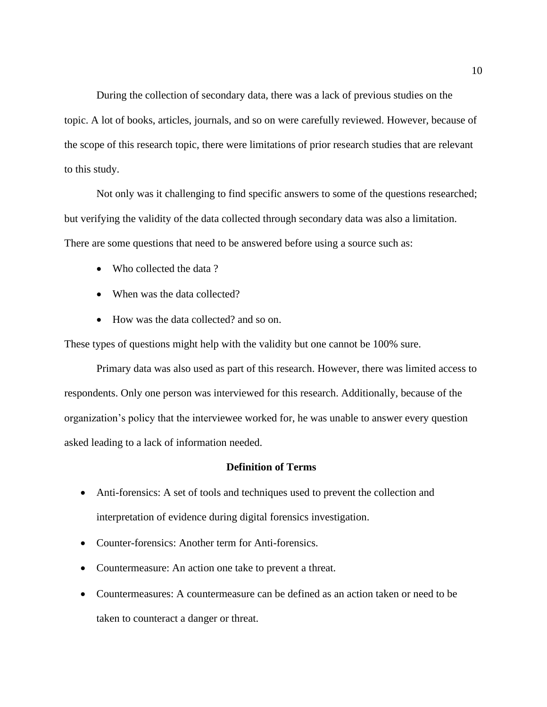During the collection of secondary data, there was a lack of previous studies on the topic. A lot of books, articles, journals, and so on were carefully reviewed. However, because of the scope of this research topic, there were limitations of prior research studies that are relevant to this study.

Not only was it challenging to find specific answers to some of the questions researched; but verifying the validity of the data collected through secondary data was also a limitation. There are some questions that need to be answered before using a source such as:

- Who collected the data?
- When was the data collected?
- How was the data collected? and so on.

These types of questions might help with the validity but one cannot be 100% sure.

Primary data was also used as part of this research. However, there was limited access to respondents. Only one person was interviewed for this research. Additionally, because of the organization's policy that the interviewee worked for, he was unable to answer every question asked leading to a lack of information needed.

#### **Definition of Terms**

- Anti-forensics: A set of tools and techniques used to prevent the collection and interpretation of evidence during digital forensics investigation.
- Counter-forensics: Another term for Anti-forensics.
- Countermeasure: An action one take to prevent a threat.
- Countermeasures: A countermeasure can be defined as an action taken or need to be taken to counteract a danger or threat.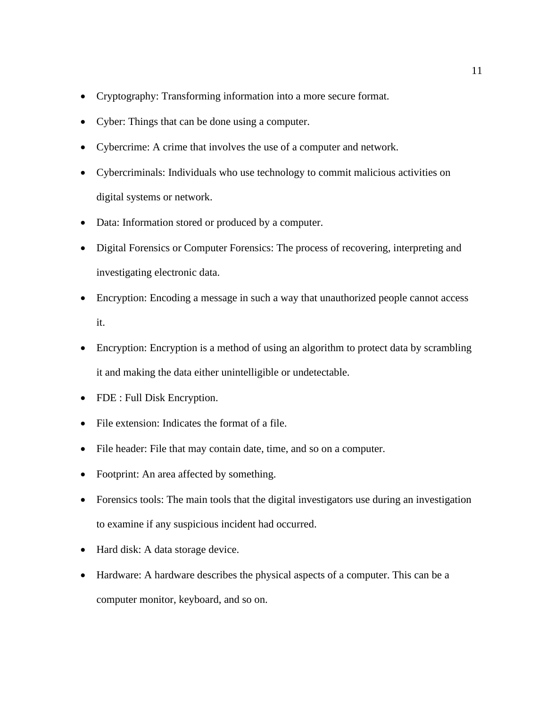- Cryptography: Transforming information into a more secure format.
- Cyber: Things that can be done using a computer.
- Cybercrime: A crime that involves the use of a computer and network.
- Cybercriminals: Individuals who use technology to commit malicious activities on digital systems or network.
- Data: Information stored or produced by a computer.
- Digital Forensics or Computer Forensics: The process of recovering, interpreting and investigating electronic data.
- Encryption: Encoding a message in such a way that unauthorized people cannot access it.
- Encryption: Encryption is a method of using an algorithm to protect data by scrambling it and making the data either unintelligible or undetectable.
- FDE : Full Disk Encryption.
- File extension: Indicates the format of a file.
- File header: File that may contain date, time, and so on a computer.
- Footprint: An area affected by something.
- Forensics tools: The main tools that the digital investigators use during an investigation to examine if any suspicious incident had occurred.
- Hard disk: A data storage device.
- Hardware: A hardware describes the physical aspects of a computer. This can be a computer monitor, keyboard, and so on.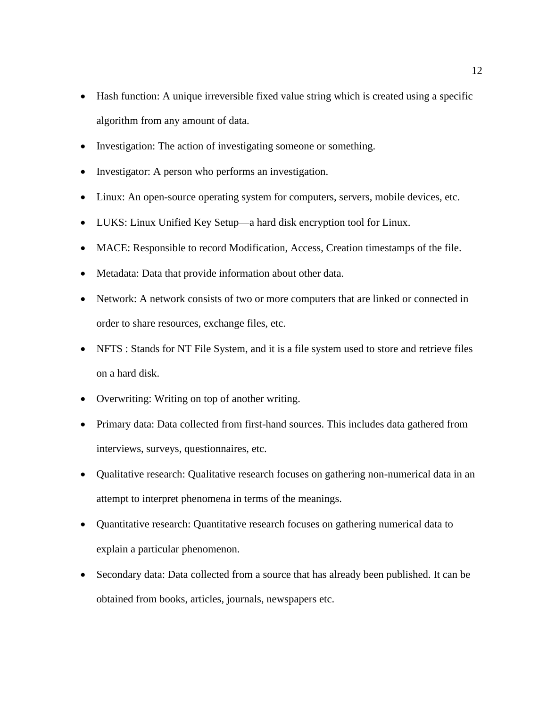- Hash function: A unique irreversible fixed value string which is created using a specific algorithm from any amount of data.
- Investigation: The action of investigating someone or something.
- Investigator: A person who performs an investigation.
- Linux: An open-source operating system for computers, servers, mobile devices, etc.
- LUKS: Linux Unified Key Setup—a hard disk encryption tool for Linux.
- MACE: Responsible to record Modification, Access, Creation timestamps of the file.
- Metadata: Data that provide information about other data.
- Network: A network consists of two or more computers that are linked or connected in order to share resources, exchange files, etc.
- NFTS : Stands for NT File System, and it is a file system used to store and retrieve files on a hard disk.
- Overwriting: Writing on top of another writing.
- Primary data: Data collected from first-hand sources. This includes data gathered from interviews, surveys, questionnaires, etc.
- Qualitative research: Qualitative research focuses on gathering non-numerical data in an attempt to interpret phenomena in terms of the meanings.
- Quantitative research: Quantitative research focuses on gathering numerical data to explain a particular phenomenon.
- Secondary data: Data collected from a source that has already been published. It can be obtained from books, articles, journals, newspapers etc.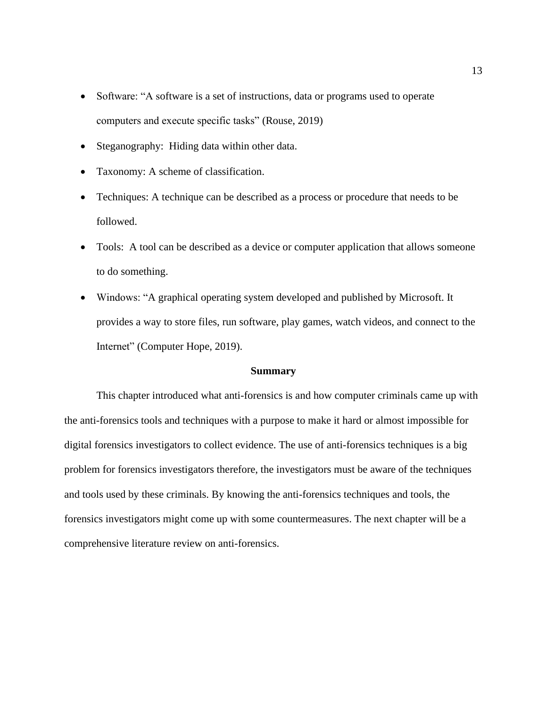- Software: "A software is a set of instructions, data or programs used to operate computers and execute specific tasks" [\(Rouse, 2019\)](https://www.zotero.org/google-docs/?YTnRTD)
- Steganography: Hiding data within other data.
- Taxonomy: A scheme of classification.
- Techniques: A technique can be described as a process or procedure that needs to be followed.
- Tools: A tool can be described as a device or computer application that allows someone to do something.
- Windows: "A graphical operating system developed and published by Microsoft. It provides a way to store files, run software, play games, watch videos, and connect to the Internet" [\(C](https://www.zotero.org/google-docs/?UYVwUl)omputer Hope, 2019).

#### **Summary**

This chapter introduced what anti-forensics is and how computer criminals came up with the anti-forensics tools and techniques with a purpose to make it hard or almost impossible for digital forensics investigators to collect evidence. The use of anti-forensics techniques is a big problem for forensics investigators therefore, the investigators must be aware of the techniques and tools used by these criminals. By knowing the anti-forensics techniques and tools, the forensics investigators might come up with some countermeasures. The next chapter will be a comprehensive literature review on anti-forensics.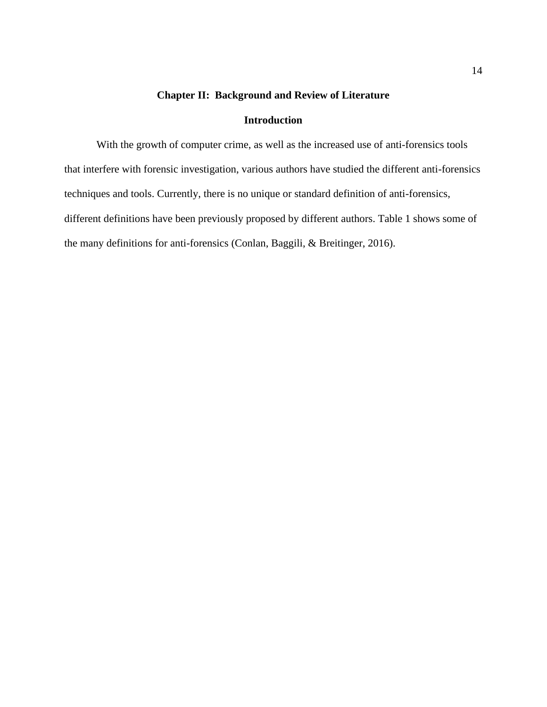## **Chapter II: Background and Review of Literature**

## **Introduction**

With the growth of computer crime, as well as the increased use of anti-forensics tools that interfere with forensic investigation, various authors have studied the different anti-forensics techniques and tools. Currently, there is no unique or standard definition of anti-forensics, different definitions have been previously proposed by different authors. Table 1 shows some of the many definitions for anti-forensics (Conlan, Baggili, & Breitinger, 2016).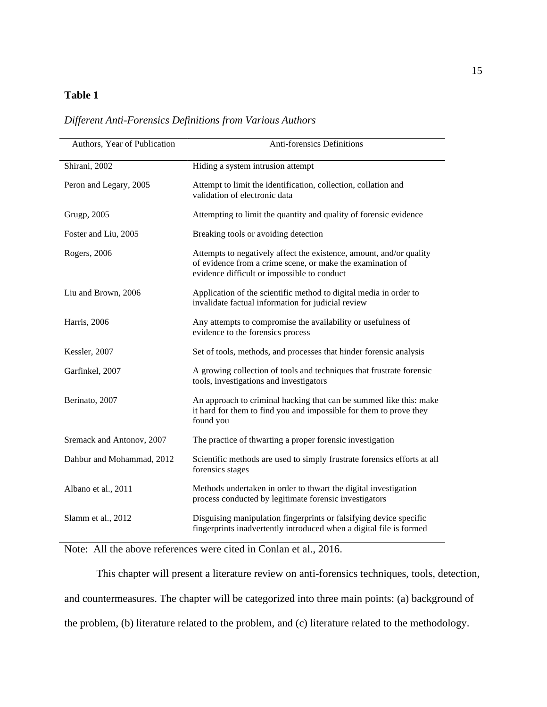## **Table 1**

| Authors, Year of Publication | Anti-forensics Definitions                                                                                                                                                       |
|------------------------------|----------------------------------------------------------------------------------------------------------------------------------------------------------------------------------|
| Shirani, 2002                | Hiding a system intrusion attempt                                                                                                                                                |
| Peron and Legary, 2005       | Attempt to limit the identification, collection, collation and<br>validation of electronic data                                                                                  |
| <b>Grugp</b> , 2005          | Attempting to limit the quantity and quality of forensic evidence                                                                                                                |
| Foster and Liu, 2005         | Breaking tools or avoiding detection                                                                                                                                             |
| Rogers, 2006                 | Attempts to negatively affect the existence, amount, and/or quality<br>of evidence from a crime scene, or make the examination of<br>evidence difficult or impossible to conduct |
| Liu and Brown, 2006          | Application of the scientific method to digital media in order to<br>invalidate factual information for judicial review                                                          |
| Harris, 2006                 | Any attempts to compromise the availability or usefulness of<br>evidence to the forensics process                                                                                |
| Kessler, 2007                | Set of tools, methods, and processes that hinder forensic analysis                                                                                                               |
| Garfinkel, 2007              | A growing collection of tools and techniques that frustrate forensic<br>tools, investigations and investigators                                                                  |
| Berinato, 2007               | An approach to criminal hacking that can be summed like this: make<br>it hard for them to find you and impossible for them to prove they<br>found you                            |
| Sremack and Antonov, 2007    | The practice of thwarting a proper forensic investigation                                                                                                                        |
| Dahbur and Mohammad, 2012    | Scientific methods are used to simply frustrate forensics efforts at all<br>forensics stages                                                                                     |
| Albano et al., 2011          | Methods undertaken in order to thwart the digital investigation<br>process conducted by legitimate forensic investigators                                                        |
| Slamm et al., 2012           | Disguising manipulation fingerprints or falsifying device specific<br>fingerprints inadvertently introduced when a digital file is formed                                        |

Note: All the above references were cited in Conlan et al., 2016.

This chapter will present a literature review on anti-forensics techniques, tools, detection, and countermeasures. The chapter will be categorized into three main points: (a) background of the problem, (b) literature related to the problem, and (c) literature related to the methodology.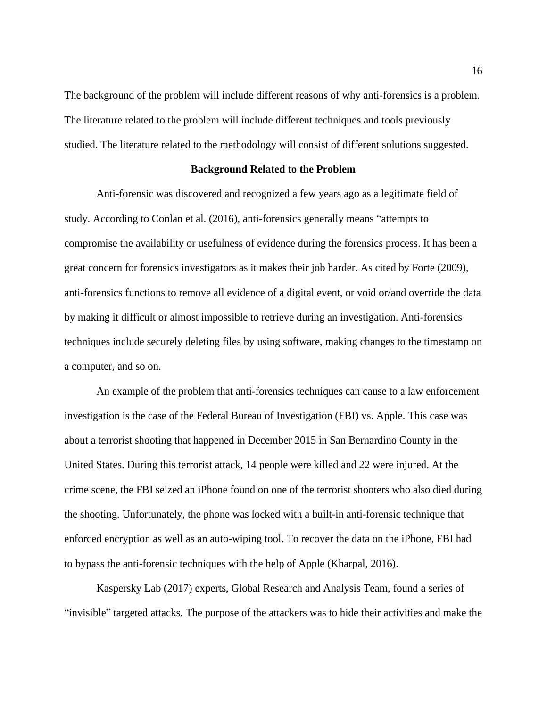The background of the problem will include different reasons of why anti-forensics is a problem. The literature related to the problem will include different techniques and tools previously studied. The literature related to the methodology will consist of different solutions suggested.

#### **Background Related to the Problem**

Anti-forensic was discovered and recognized a few years ago as a legitimate field of study. According to Conlan et al. (2016), anti-forensics generally means "attempts to compromise the availability or usefulness of evidence during the forensics process. It has been a great concern for forensics investigators as it makes their job harder. As cited by Forte (2009), anti-forensics functions to remove all evidence of a digital event, or void or/and override the data by making it difficult or almost impossible to retrieve during an investigation. Anti-forensics techniques include securely deleting files by using software, making changes to the timestamp on a computer, and so on.

An example of the problem that anti-forensics techniques can cause to a law enforcement investigation is the case of the Federal Bureau of Investigation (FBI) vs. Apple. This case was about a terrorist shooting that happened in December 2015 in San Bernardino County in the United States. During this terrorist attack, 14 people were killed and 22 were injured. At the crime scene, the FBI seized an iPhone found on one of the terrorist shooters who also died during the shooting. Unfortunately, the phone was locked with a built-in anti-forensic technique that enforced encryption as well as an auto-wiping tool. To recover the data on the iPhone, FBI had to bypass the anti-forensic techniques with the help of Apple (Kharpal, 2016).

Kaspersky Lab (2017) experts, Global Research and Analysis Team, found a series of "invisible" targeted attacks. The purpose of the attackers was to hide their activities and make the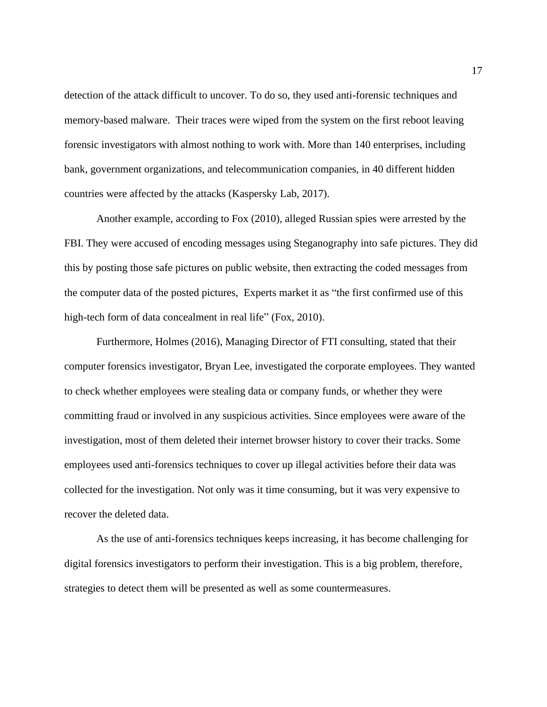detection of the attack difficult to uncover. To do so, they used anti-forensic techniques and memory-based malware. Their traces were wiped from the system on the first reboot leaving forensic investigators with almost nothing to work with. More than 140 enterprises, including bank, government organizations, and telecommunication companies, in 40 different hidden countries were affected by the attacks (Kaspersky Lab, 2017).

Another example, according to Fox (2010), alleged Russian spies were arrested by the FBI. They were accused of encoding messages using Steganography into safe pictures. They did this by posting those safe pictures on public website, then extracting the coded messages from the computer data of the posted pictures, Experts market it as "the first confirmed use of this high-tech form of data concealment in real life" (Fox, 2010).

Furthermore, Holmes (2016), Managing Director of FTI consulting, stated that their computer forensics investigator, Bryan Lee, investigated the corporate employees. They wanted to check whether employees were stealing data or company funds, or whether they were committing fraud or involved in any suspicious activities. Since employees were aware of the investigation, most of them deleted their internet browser history to cover their tracks. Some employees used anti-forensics techniques to cover up illegal activities before their data was collected for the investigation. Not only was it time consuming, but it was very expensive to recover the deleted data.

As the use of anti-forensics techniques keeps increasing, it has become challenging for digital forensics investigators to perform their investigation. This is a big problem, therefore, strategies to detect them will be presented as well as some countermeasures.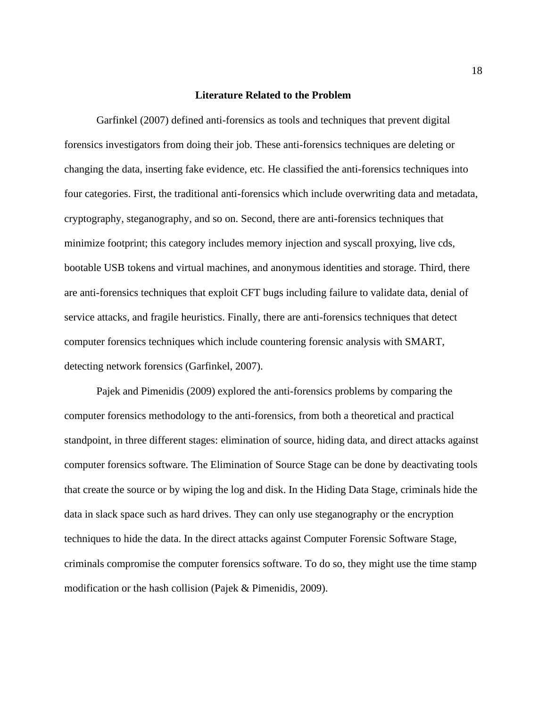#### **Literature Related to the Problem**

Garfinkel (2007) defined anti-forensics as tools and techniques that prevent digital forensics investigators from doing their job. These anti-forensics techniques are deleting or changing the data, inserting fake evidence, etc. He classified the anti-forensics techniques into four categories. First, the traditional anti-forensics which include overwriting data and metadata, cryptography, steganography, and so on. Second, there are anti-forensics techniques that minimize footprint; this category includes memory injection and syscall proxying, live cds, bootable USB tokens and virtual machines, and anonymous identities and storage. Third, there are anti-forensics techniques that exploit CFT bugs including failure to validate data, denial of service attacks, and fragile heuristics. Finally, there are anti-forensics techniques that detect computer forensics techniques which include countering forensic analysis with SMART, detecting network forensics (Garfinkel, 2007).

Pajek and Pimenidis (2009) explored the anti-forensics problems by comparing the computer forensics methodology to the anti-forensics, from both a theoretical and practical standpoint, in three different stages: elimination of source, hiding data, and direct attacks against computer forensics software. The Elimination of Source Stage can be done by deactivating tools that create the source or by wiping the log and disk. In the Hiding Data Stage, criminals hide the data in slack space such as hard drives. They can only use steganography or the encryption techniques to hide the data. In the direct attacks against Computer Forensic Software Stage, criminals compromise the computer forensics software. To do so, they might use the time stamp modification or the hash collision (Pajek & Pimenidis, 2009).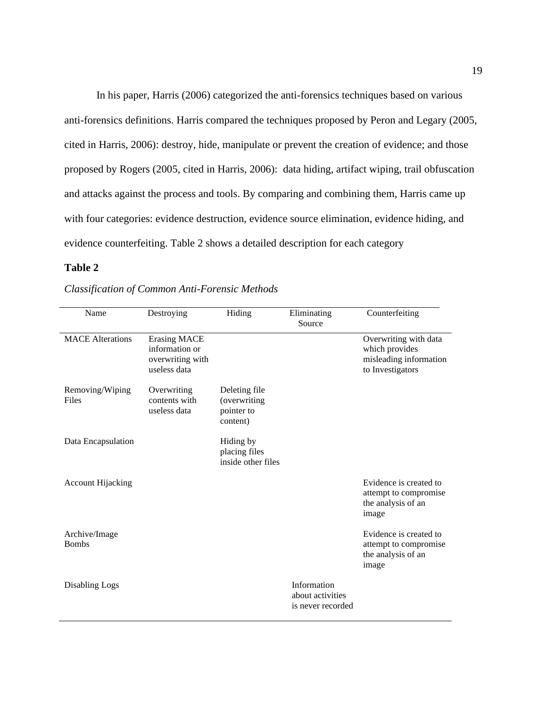In his paper, Harris (2006) categorized the anti-forensics techniques based on various anti-forensics definitions. Harris compared the techniques proposed by Peron and Legary (2005, cited in Harris, 2006): destroy, hide, manipulate or prevent the creation of evidence; and those proposed by Rogers (2005, cited in Harris, 2006): data hiding, artifact wiping, trail obfuscation and attacks against the process and tools. By comparing and combining them, Harris came up with four categories: evidence destruction, evidence source elimination, evidence hiding, and evidence counterfeiting. Table 2 shows a detailed description for each category

#### **Table 2**

| Name                          | Destroying                                                                | Hiding                                                  | Eliminating<br>Source                                | Counterfeiting                                                                        |
|-------------------------------|---------------------------------------------------------------------------|---------------------------------------------------------|------------------------------------------------------|---------------------------------------------------------------------------------------|
| <b>MACE</b> Alterations       | <b>Erasing MACE</b><br>information or<br>overwriting with<br>useless data |                                                         |                                                      | Overwriting with data<br>which provides<br>misleading information<br>to Investigators |
| Removing/Wiping<br>Files      | Overwriting<br>contents with<br>useless data                              | Deleting file<br>(overwriting<br>pointer to<br>content) |                                                      |                                                                                       |
| Data Encapsulation            |                                                                           | Hiding by<br>placing files<br>inside other files        |                                                      |                                                                                       |
| <b>Account Hijacking</b>      |                                                                           |                                                         |                                                      | Evidence is created to<br>attempt to compromise<br>the analysis of an<br>image        |
| Archive/Image<br><b>Bombs</b> |                                                                           |                                                         |                                                      | Evidence is created to<br>attempt to compromise<br>the analysis of an<br>image        |
| Disabling Logs                |                                                                           |                                                         | Information<br>about activities<br>is never recorded |                                                                                       |

#### *Classification of Common Anti-Forensic Methods*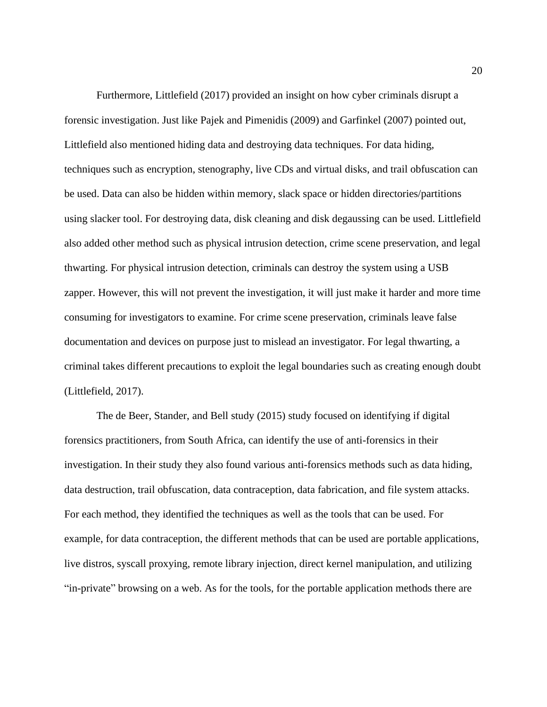Furthermore, Littlefield (2017) provided an insight on how cyber criminals disrupt a forensic investigation. Just like Pajek and Pimenidis (2009) and Garfinkel (2007) pointed out, Littlefield also mentioned hiding data and destroying data techniques. For data hiding, techniques such as encryption, stenography, live CDs and virtual disks, and trail obfuscation can be used. Data can also be hidden within memory, slack space or hidden directories/partitions using slacker tool. For destroying data, disk cleaning and disk degaussing can be used. Littlefield also added other method such as physical intrusion detection, crime scene preservation, and legal thwarting. For physical intrusion detection, criminals can destroy the system using a USB zapper. However, this will not prevent the investigation, it will just make it harder and more time consuming for investigators to examine. For crime scene preservation, criminals leave false documentation and devices on purpose just to mislead an investigator. For legal thwarting, a criminal takes different precautions to exploit the legal boundaries such as creating enough doubt (Littlefield, 2017).

The de Beer, Stander, and Bell study (2015) study focused on identifying if digital forensics practitioners, from South Africa, can identify the use of anti-forensics in their investigation. In their study they also found various anti-forensics methods such as data hiding, data destruction, trail obfuscation, data contraception, data fabrication, and file system attacks. For each method, they identified the techniques as well as the tools that can be used. For example, for data contraception, the different methods that can be used are portable applications, live distros, syscall proxying, remote library injection, direct kernel manipulation, and utilizing "in-private" browsing on a web. As for the tools, for the portable application methods there are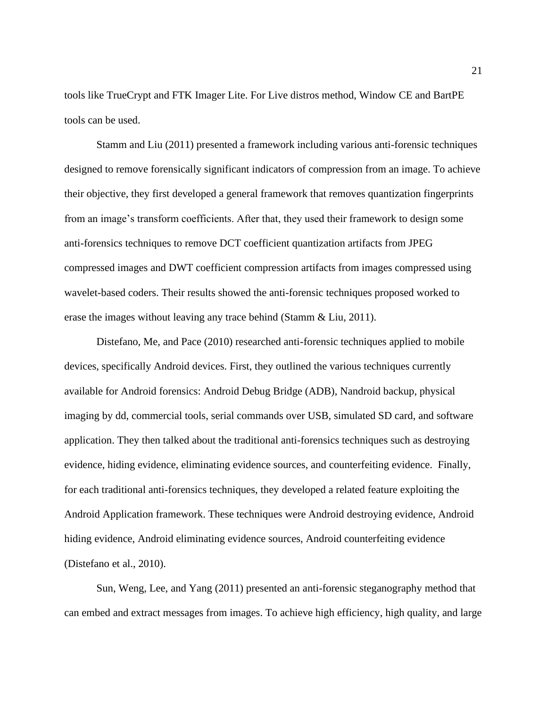tools like TrueCrypt and FTK Imager Lite. For Live distros method, Window CE and BartPE tools can be used.

Stamm and Liu (2011) presented a framework including various anti-forensic techniques designed to remove forensically significant indicators of compression from an image. To achieve their objective, they first developed a general framework that removes quantization fingerprints from an image's transform coefficients. After that, they used their framework to design some anti-forensics techniques to remove DCT coefficient quantization artifacts from JPEG compressed images and DWT coefficient compression artifacts from images compressed using wavelet-based coders. Their results showed the anti-forensic techniques proposed worked to erase the images without leaving any trace behind (Stamm & Liu, 2011).

Distefano, Me, and Pace (2010) researched anti-forensic techniques applied to mobile devices, specifically Android devices. First, they outlined the various techniques currently available for Android forensics: Android Debug Bridge (ADB), Nandroid backup, physical imaging by dd, commercial tools, serial commands over USB, simulated SD card, and software application. They then talked about the traditional anti-forensics techniques such as destroying evidence, hiding evidence, eliminating evidence sources, and counterfeiting evidence. Finally, for each traditional anti-forensics techniques, they developed a related feature exploiting the Android Application framework. These techniques were Android destroying evidence, Android hiding evidence, Android eliminating evidence sources, Android counterfeiting evidence (Distefano et al., 2010).

Sun, Weng, Lee, and Yang (2011) presented an anti-forensic steganography method that can embed and extract messages from images. To achieve high efficiency, high quality, and large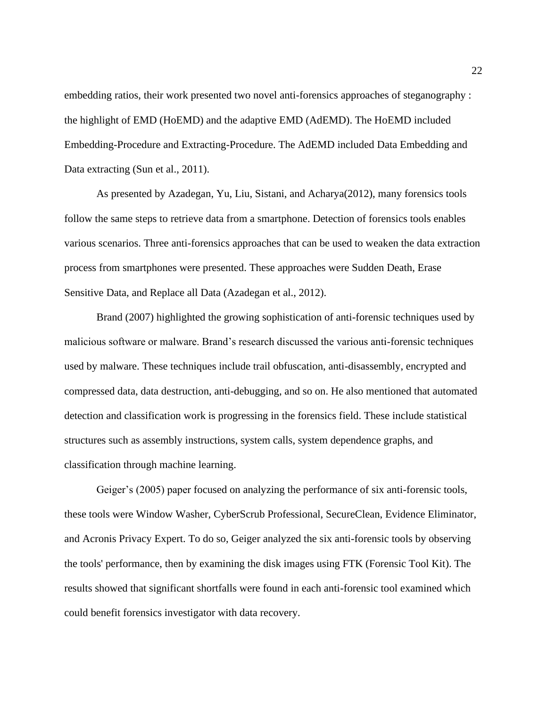embedding ratios, their work presented two novel anti-forensics approaches of steganography : the highlight of EMD (HoEMD) and the adaptive EMD (AdEMD). The HoEMD included Embedding-Procedure and Extracting-Procedure. The AdEMD included Data Embedding and Data extracting (Sun et al., 2011).

As presented by Azadegan, Yu, Liu, Sistani, and Acharya(2012), many forensics tools follow the same steps to retrieve data from a smartphone. Detection of forensics tools enables various scenarios. Three anti-forensics approaches that can be used to weaken the data extraction process from smartphones were presented. These approaches were Sudden Death, Erase Sensitive Data, and Replace all Data (Azadegan et al., 2012).

Brand (2007) highlighted the growing sophistication of anti-forensic techniques used by malicious software or malware. Brand's research discussed the various anti-forensic techniques used by malware. These techniques include trail obfuscation, anti-disassembly, encrypted and compressed data, data destruction, anti-debugging, and so on. He also mentioned that automated detection and classification work is progressing in the forensics field. These include statistical structures such as assembly instructions, system calls, system dependence graphs, and classification through machine learning.

Geiger's (2005) paper focused on analyzing the performance of six anti-forensic tools, these tools were Window Washer, CyberScrub Professional, SecureClean, Evidence Eliminator, and Acronis Privacy Expert. To do so, Geiger analyzed the six anti-forensic tools by observing the tools' performance, then by examining the disk images using FTK (Forensic Tool Kit). The results showed that significant shortfalls were found in each anti-forensic tool examined which could benefit forensics investigator with data recovery.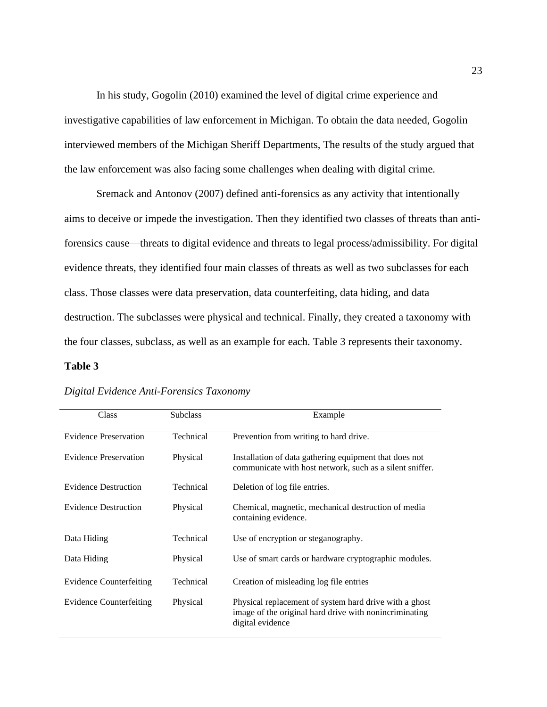In his study, Gogolin (2010) examined the level of digital crime experience and investigative capabilities of law enforcement in Michigan. To obtain the data needed, Gogolin interviewed members of the Michigan Sheriff Departments, The results of the study argued that the law enforcement was also facing some challenges when dealing with digital crime.

Sremack and Antonov (2007) defined anti-forensics as any activity that intentionally aims to deceive or impede the investigation. Then they identified two classes of threats than antiforensics cause—threats to digital evidence and threats to legal process/admissibility. For digital evidence threats, they identified four main classes of threats as well as two subclasses for each class. Those classes were data preservation, data counterfeiting, data hiding, and data destruction. The subclasses were physical and technical. Finally, they created a taxonomy with the four classes, subclass, as well as an example for each. Table 3 represents their taxonomy.

#### **Table 3**

| Class                          | <b>Subclass</b> | Example                                                                                                                              |
|--------------------------------|-----------------|--------------------------------------------------------------------------------------------------------------------------------------|
| <b>Evidence Preservation</b>   | Technical       | Prevention from writing to hard drive.                                                                                               |
| <b>Evidence Preservation</b>   | Physical        | Installation of data gathering equipment that does not<br>communicate with host network, such as a silent sniffer.                   |
| <b>Evidence Destruction</b>    | Technical       | Deletion of log file entries.                                                                                                        |
| <b>Evidence Destruction</b>    | Physical        | Chemical, magnetic, mechanical destruction of media<br>containing evidence.                                                          |
| Data Hiding                    | Technical       | Use of encryption or steganography.                                                                                                  |
| Data Hiding                    | Physical        | Use of smart cards or hardware cryptographic modules.                                                                                |
| <b>Evidence Counterfeiting</b> | Technical       | Creation of misleading log file entries                                                                                              |
| <b>Evidence Counterfeiting</b> | Physical        | Physical replacement of system hard drive with a ghost<br>image of the original hard drive with nonincriminating<br>digital evidence |

#### *Digital Evidence Anti-Forensics Taxonomy*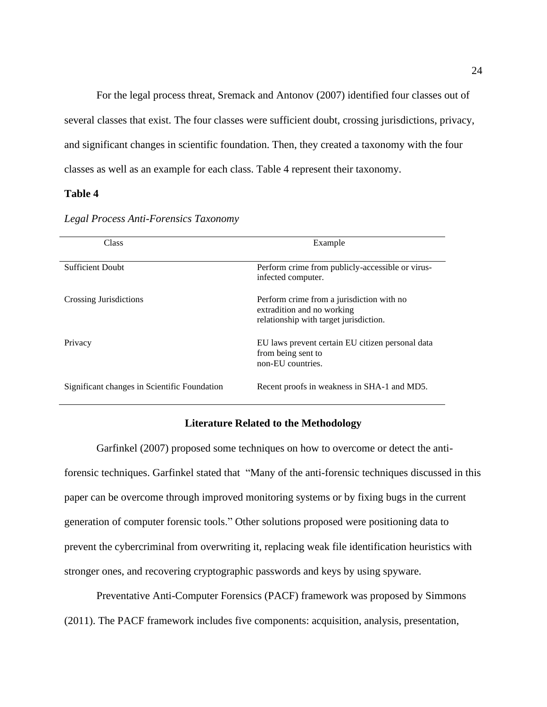For the legal process threat, Sremack and Antonov (2007) identified four classes out of several classes that exist. The four classes were sufficient doubt, crossing jurisdictions, privacy, and significant changes in scientific foundation. Then, they created a taxonomy with the four classes as well as an example for each class. Table 4 represent their taxonomy.

#### **Table 4**

| Class                                        | Example                                                                                                           |
|----------------------------------------------|-------------------------------------------------------------------------------------------------------------------|
| <b>Sufficient Doubt</b>                      | Perform crime from publicly-accessible or virus-<br>infected computer.                                            |
| Crossing Jurisdictions                       | Perform crime from a jurisdiction with no<br>extradition and no working<br>relationship with target jurisdiction. |
| Privacy                                      | EU laws prevent certain EU citizen personal data<br>from being sent to<br>non-EU countries.                       |
| Significant changes in Scientific Foundation | Recent proofs in weakness in SHA-1 and MD5.                                                                       |

*Legal Process Anti-Forensics Taxonomy*

#### **Literature Related to the Methodology**

Garfinkel (2007) proposed some techniques on how to overcome or detect the antiforensic techniques. Garfinkel stated that "Many of the anti-forensic techniques discussed in this paper can be overcome through improved monitoring systems or by fixing bugs in the current generation of computer forensic tools." Other solutions proposed were positioning data to prevent the cybercriminal from overwriting it, replacing weak file identification heuristics with stronger ones, and recovering cryptographic passwords and keys by using spyware.

Preventative Anti-Computer Forensics (PACF) framework was proposed by Simmons (2011). The PACF framework includes five components: acquisition, analysis, presentation,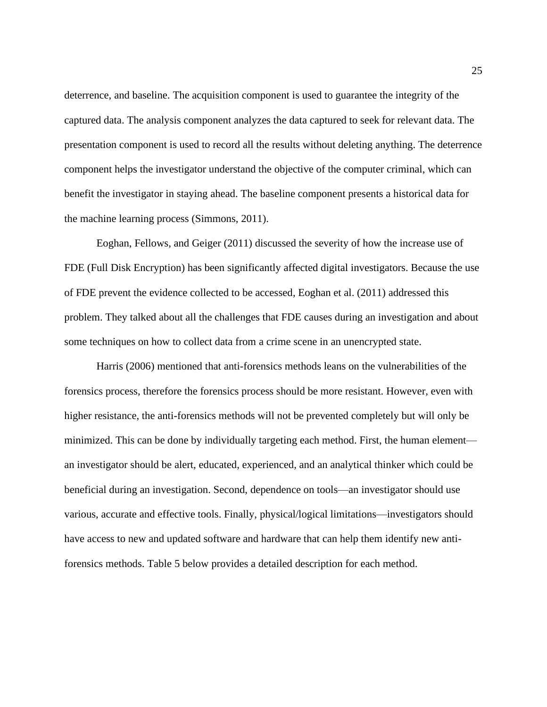deterrence, and baseline. The acquisition component is used to guarantee the integrity of the captured data. The analysis component analyzes the data captured to seek for relevant data. The presentation component is used to record all the results without deleting anything. The deterrence component helps the investigator understand the objective of the computer criminal, which can benefit the investigator in staying ahead. The baseline component presents a historical data for the machine learning process (Simmons, 2011).

Eoghan, Fellows, and Geiger (2011) discussed the severity of how the increase use of FDE (Full Disk Encryption) has been significantly affected digital investigators. Because the use of FDE prevent the evidence collected to be accessed, Eoghan et al. (2011) addressed this problem. They talked about all the challenges that FDE causes during an investigation and about some techniques on how to collect data from a crime scene in an unencrypted state.

Harris (2006) mentioned that anti-forensics methods leans on the vulnerabilities of the forensics process, therefore the forensics process should be more resistant. However, even with higher resistance, the anti-forensics methods will not be prevented completely but will only be minimized. This can be done by individually targeting each method. First, the human element an investigator should be alert, educated, experienced, and an analytical thinker which could be beneficial during an investigation. Second, dependence on tools—an investigator should use various, accurate and effective tools. Finally, physical/logical limitations—investigators should have access to new and updated software and hardware that can help them identify new antiforensics methods. Table 5 below provides a detailed description for each method.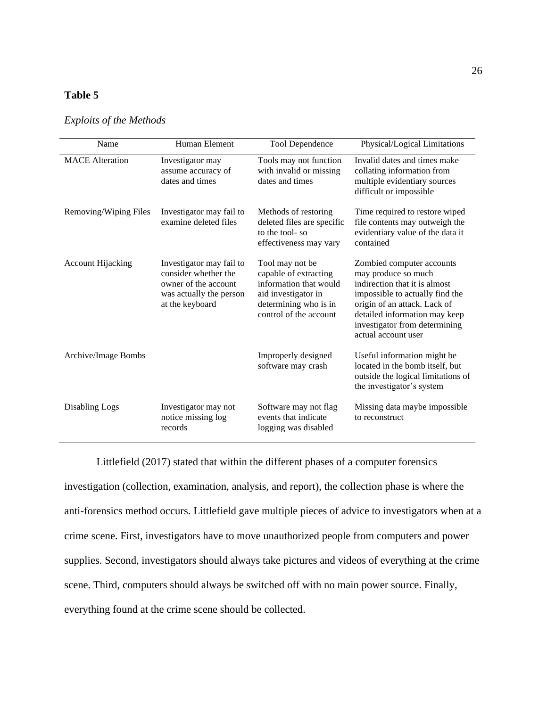## **Table 5**

| Name                     | Human Element                                                                                                          | <b>Tool Dependence</b>                                                                                                                       | Physical/Logical Limitations                                                                                                                                                                                                                  |
|--------------------------|------------------------------------------------------------------------------------------------------------------------|----------------------------------------------------------------------------------------------------------------------------------------------|-----------------------------------------------------------------------------------------------------------------------------------------------------------------------------------------------------------------------------------------------|
| <b>MACE</b> Alteration   | Investigator may<br>assume accuracy of<br>dates and times                                                              | Tools may not function<br>with invalid or missing<br>dates and times                                                                         | Invalid dates and times make<br>collating information from<br>multiple evidentiary sources<br>difficult or impossible                                                                                                                         |
| Removing/Wiping Files    | Investigator may fail to<br>examine deleted files                                                                      | Methods of restoring<br>deleted files are specific<br>to the tool-so<br>effectiveness may vary                                               | Time required to restore wiped<br>file contents may outweigh the<br>evidentiary value of the data it<br>contained                                                                                                                             |
| <b>Account Hijacking</b> | Investigator may fail to<br>consider whether the<br>owner of the account<br>was actually the person<br>at the keyboard | Tool may not be<br>capable of extracting<br>information that would<br>aid investigator in<br>determining who is in<br>control of the account | Zombied computer accounts<br>may produce so much<br>indirection that it is almost<br>impossible to actually find the<br>origin of an attack. Lack of<br>detailed information may keep<br>investigator from determining<br>actual account user |
| Archive/Image Bombs      |                                                                                                                        | Improperly designed<br>software may crash                                                                                                    | Useful information might be<br>located in the bomb itself, but<br>outside the logical limitations of<br>the investigator's system                                                                                                             |
| Disabling Logs           | Investigator may not<br>notice missing log<br>records                                                                  | Software may not flag<br>events that indicate<br>logging was disabled                                                                        | Missing data maybe impossible<br>to reconstruct                                                                                                                                                                                               |

*Exploits of the Methods*

Littlefield (2017) stated that within the different phases of a computer forensics

investigation (collection, examination, analysis, and report), the collection phase is where the anti-forensics method occurs. Littlefield gave multiple pieces of advice to investigators when at a crime scene. First, investigators have to move unauthorized people from computers and power supplies. Second, investigators should always take pictures and videos of everything at the crime scene. Third, computers should always be switched off with no main power source. Finally, everything found at the crime scene should be collected.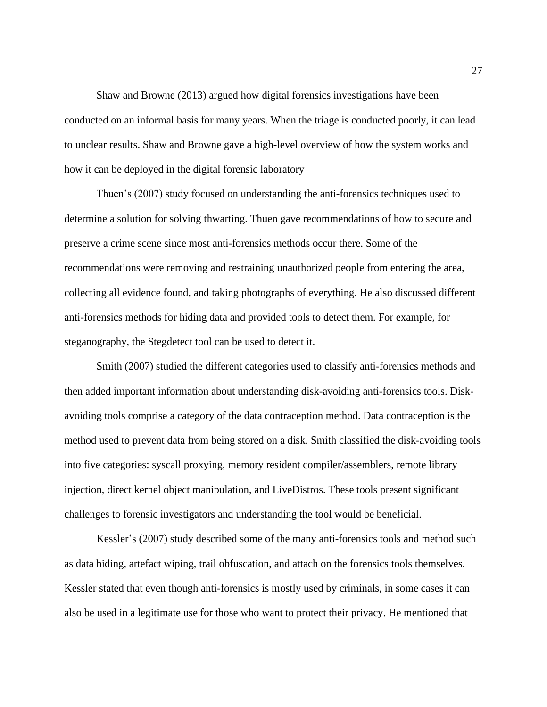Shaw and Browne (2013) argued how digital forensics investigations have been conducted on an informal basis for many years. When the triage is conducted poorly, it can lead to unclear results. Shaw and Browne gave a high-level overview of how the system works and how it can be deployed in the digital forensic laboratory

Thuen's (2007) study focused on understanding the anti-forensics techniques used to determine a solution for solving thwarting. Thuen gave recommendations of how to secure and preserve a crime scene since most anti-forensics methods occur there. Some of the recommendations were removing and restraining unauthorized people from entering the area, collecting all evidence found, and taking photographs of everything. He also discussed different anti-forensics methods for hiding data and provided tools to detect them. For example, for steganography, the Stegdetect tool can be used to detect it.

Smith (2007) studied the different categories used to classify anti-forensics methods and then added important information about understanding disk-avoiding anti-forensics tools. Diskavoiding tools comprise a category of the data contraception method. Data contraception is the method used to prevent data from being stored on a disk. Smith classified the disk-avoiding tools into five categories: syscall proxying, memory resident compiler/assemblers, remote library injection, direct kernel object manipulation, and LiveDistros. These tools present significant challenges to forensic investigators and understanding the tool would be beneficial.

Kessler's (2007) study described some of the many anti-forensics tools and method such as data hiding, artefact wiping, trail obfuscation, and attach on the forensics tools themselves. Kessler stated that even though anti-forensics is mostly used by criminals, in some cases it can also be used in a legitimate use for those who want to protect their privacy. He mentioned that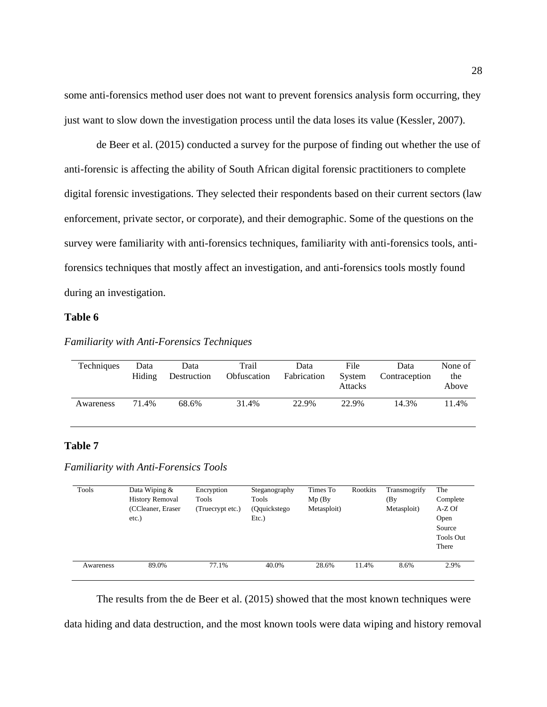some anti-forensics method user does not want to prevent forensics analysis form occurring, they just want to slow down the investigation process until the data loses its value (Kessler, 2007).

de Beer et al. (2015) conducted a survey for the purpose of finding out whether the use of anti-forensic is affecting the ability of South African digital forensic practitioners to complete digital forensic investigations. They selected their respondents based on their current sectors (law enforcement, private sector, or corporate), and their demographic. Some of the questions on the survey were familiarity with anti-forensics techniques, familiarity with anti-forensics tools, antiforensics techniques that mostly affect an investigation, and anti-forensics tools mostly found during an investigation.

#### **Table 6**

| Techniques | Data<br>Hiding | Data<br>Destruction | Trail<br>Obfuscation | Data<br>Fabrication | File<br>System<br><b>Attacks</b> | Data<br>Contraception | None of<br>the<br>Above |
|------------|----------------|---------------------|----------------------|---------------------|----------------------------------|-----------------------|-------------------------|
| Awareness  | 71.4%          | 68.6%               | 31.4%                | 22.9%               | 22.9%                            | 14.3%                 | $1.4\%$                 |

#### *Familiarity with Anti-Forensics Techniques*

#### **Table 7**

*Familiarity with Anti-Forensics Tools*

| Tools     | Data Wiping $&$<br><b>History Removal</b><br>(CCleaner, Eraser)<br>$etc.$ ) | Encryption<br>Tools<br>(Truecrypt etc.) | Steganography<br>Tools<br>(Qquickstego)<br>Etc.) | Times To<br>$Mp$ (By<br>Metasploit) | Rootkits | Transmogrify<br>(By<br>Metasploit) | The<br>Complete<br>A-Z Of<br>Open<br>Source<br><b>Tools Out</b><br>There |
|-----------|-----------------------------------------------------------------------------|-----------------------------------------|--------------------------------------------------|-------------------------------------|----------|------------------------------------|--------------------------------------------------------------------------|
| Awareness | 89.0%                                                                       | 77.1%                                   | 40.0%                                            | 28.6%                               | 11.4%    | 8.6%                               | 2.9%                                                                     |

The results from the de Beer et al. (2015) showed that the most known techniques were

data hiding and data destruction, and the most known tools were data wiping and history removal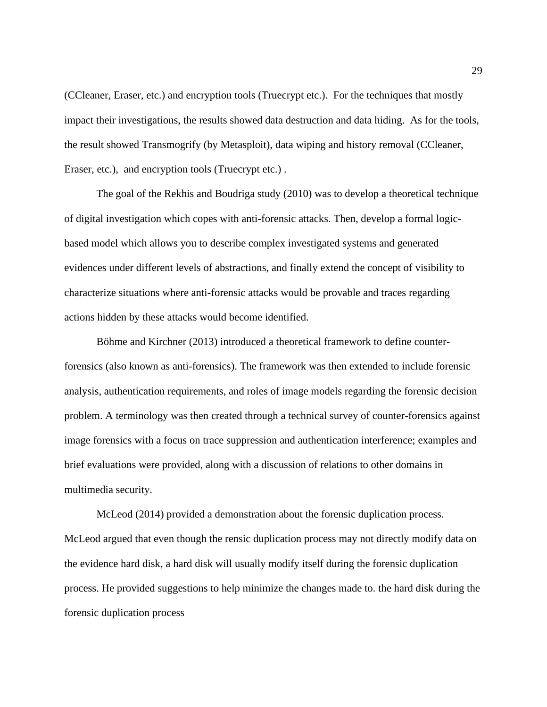(CCleaner, Eraser, etc.) and encryption tools (Truecrypt etc.). For the techniques that mostly impact their investigations, the results showed data destruction and data hiding. As for the tools, the result showed Transmogrify (by Metasploit), data wiping and history removal (CCleaner, Eraser, etc.), and encryption tools (Truecrypt etc.) .

The goal of the Rekhis and Boudriga study (2010) was to develop a theoretical technique of digital investigation which copes with anti-forensic attacks. Then, develop a formal logicbased model which allows you to describe complex investigated systems and generated evidences under different levels of abstractions, and finally extend the concept of visibility to characterize situations where anti-forensic attacks would be provable and traces regarding actions hidden by these attacks would become identified.

Böhme and Kirchner (2013) introduced a theoretical framework to define counterforensics (also known as anti-forensics). The framework was then extended to include forensic analysis, authentication requirements, and roles of image models regarding the forensic decision problem. A terminology was then created through a technical survey of counter-forensics against image forensics with a focus on trace suppression and authentication interference; examples and brief evaluations were provided, along with a discussion of relations to other domains in multimedia security.

McLeod (2014) provided a demonstration about the forensic duplication process. McLeod argued that even though the rensic duplication process may not directly modify data on the evidence hard disk, a hard disk will usually modify itself during the forensic duplication process. He provided suggestions to help minimize the changes made to. the hard disk during the forensic duplication process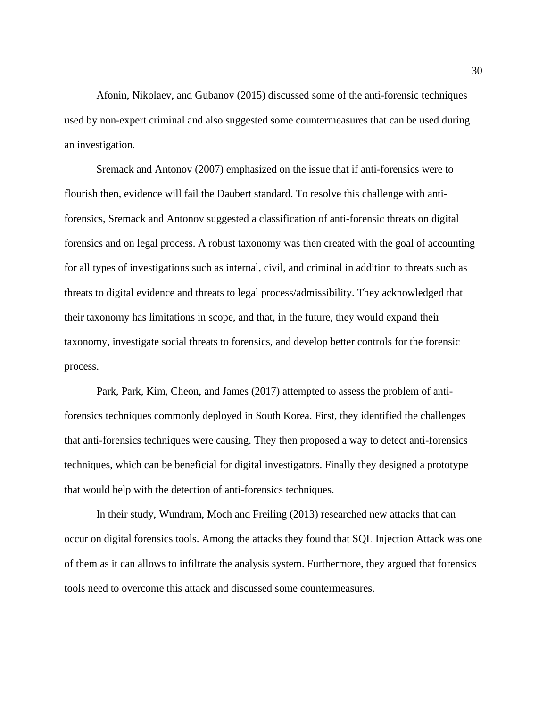Afonin, Nikolaev, and Gubanov (2015) discussed some of the anti-forensic techniques used by non-expert criminal and also suggested some countermeasures that can be used during an investigation.

Sremack and Antonov (2007) emphasized on the issue that if anti-forensics were to flourish then, evidence will fail the Daubert standard. To resolve this challenge with antiforensics, Sremack and Antonov suggested a classification of anti-forensic threats on digital forensics and on legal process. A robust taxonomy was then created with the goal of accounting for all types of investigations such as internal, civil, and criminal in addition to threats such as threats to digital evidence and threats to legal process/admissibility. They acknowledged that their taxonomy has limitations in scope, and that, in the future, they would expand their taxonomy, investigate social threats to forensics, and develop better controls for the forensic process.

Park, Park, Kim, Cheon, and James (2017) attempted to assess the problem of antiforensics techniques commonly deployed in South Korea. First, they identified the challenges that anti-forensics techniques were causing. They then proposed a way to detect anti-forensics techniques, which can be beneficial for digital investigators. Finally they designed a prototype that would help with the detection of anti-forensics techniques.

In their study, Wundram, Moch and Freiling (2013) researched new attacks that can occur on digital forensics tools. Among the attacks they found that SQL Injection Attack was one of them as it can allows to infiltrate the analysis system. Furthermore, they argued that forensics tools need to overcome this attack and discussed some countermeasures.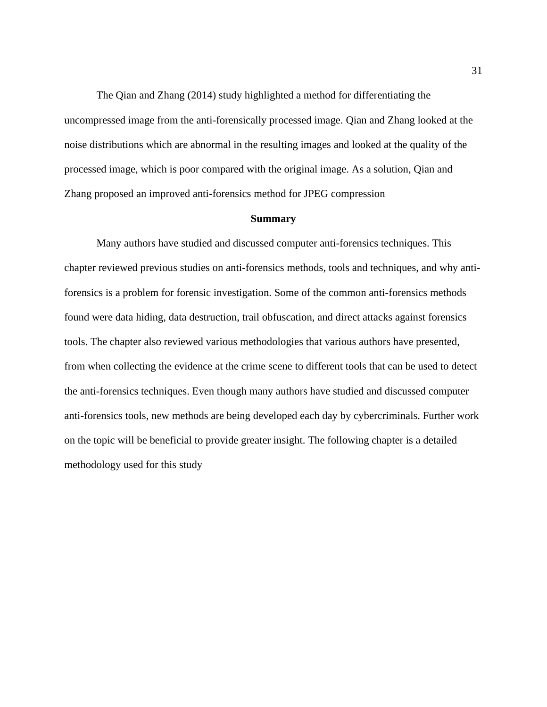The Qian and Zhang (2014) study highlighted a method for differentiating the uncompressed image from the anti-forensically processed image. Qian and Zhang looked at the noise distributions which are abnormal in the resulting images and looked at the quality of the processed image, which is poor compared with the original image. As a solution, Qian and Zhang proposed an improved anti-forensics method for JPEG compression

#### **Summary**

Many authors have studied and discussed computer anti-forensics techniques. This chapter reviewed previous studies on anti-forensics methods, tools and techniques, and why antiforensics is a problem for forensic investigation. Some of the common anti-forensics methods found were data hiding, data destruction, trail obfuscation, and direct attacks against forensics tools. The chapter also reviewed various methodologies that various authors have presented, from when collecting the evidence at the crime scene to different tools that can be used to detect the anti-forensics techniques. Even though many authors have studied and discussed computer anti-forensics tools, new methods are being developed each day by cybercriminals. Further work on the topic will be beneficial to provide greater insight. The following chapter is a detailed methodology used for this study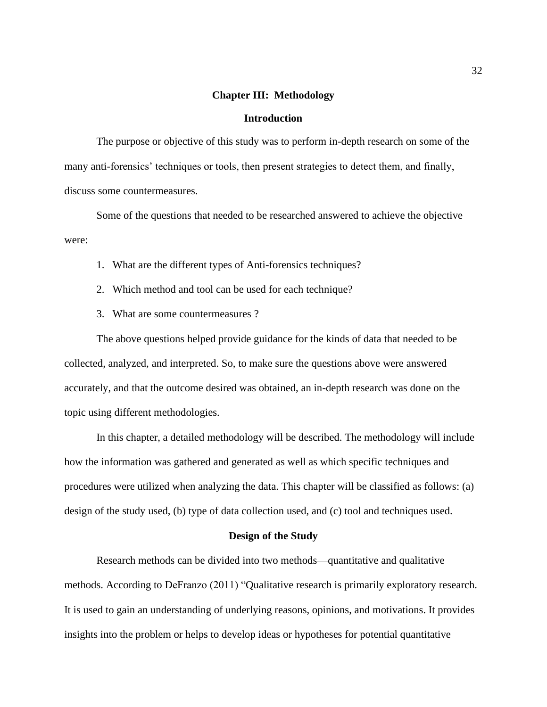#### **Chapter III: Methodology**

#### **Introduction**

The purpose or objective of this study was to perform in-depth research on some of the many anti-forensics' techniques or tools, then present strategies to detect them, and finally, discuss some countermeasures.

Some of the questions that needed to be researched answered to achieve the objective were:

- 1. What are the different types of Anti-forensics techniques?
- 2. Which method and tool can be used for each technique?
- 3. What are some countermeasures ?

The above questions helped provide guidance for the kinds of data that needed to be collected, analyzed, and interpreted. So, to make sure the questions above were answered accurately, and that the outcome desired was obtained, an in-depth research was done on the topic using different methodologies.

In this chapter, a detailed methodology will be described. The methodology will include how the information was gathered and generated as well as which specific techniques and procedures were utilized when analyzing the data. This chapter will be classified as follows: (a) design of the study used, (b) type of data collection used, and (c) tool and techniques used.

#### **Design of the Study**

Research methods can be divided into two methods—quantitative and qualitative methods. According to DeFranzo (2011) "Qualitative research is primarily exploratory research. It is used to gain an understanding of underlying reasons, opinions, and motivations. It provides insights into the problem or helps to develop ideas or hypotheses for potential quantitative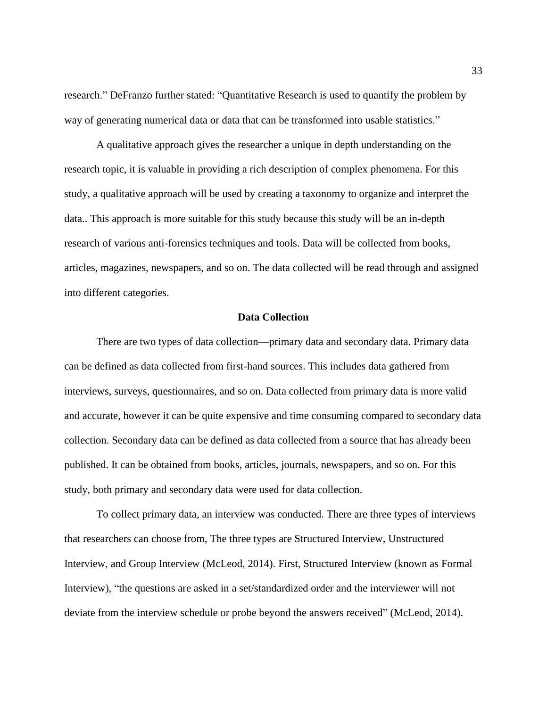research." DeFranzo further stated: "Quantitative Research is used to quantify the problem by way of generating numerical data or data that can be transformed into usable statistics."

A qualitative approach gives the researcher a unique in depth understanding on the research topic, it is valuable in providing a rich description of complex phenomena. For this study, a qualitative approach will be used by creating a taxonomy to organize and interpret the data.. This approach is more suitable for this study because this study will be an in-depth research of various anti-forensics techniques and tools. Data will be collected from books, articles, magazines, newspapers, and so on. The data collected will be read through and assigned into different categories.

#### **Data Collection**

There are two types of data collection—primary data and secondary data. Primary data can be defined as data collected from first-hand sources. This includes data gathered from interviews, surveys, questionnaires, and so on. Data collected from primary data is more valid and accurate, however it can be quite expensive and time consuming compared to secondary data collection. Secondary data can be defined as data collected from a source that has already been published. It can be obtained from books, articles, journals, newspapers, and so on. For this study, both primary and secondary data were used for data collection.

To collect primary data, an interview was conducted. There are three types of interviews that researchers can choose from, The three types are Structured Interview, Unstructured Interview, and Group Interview [\(McLeod, 2014\).](https://www.zotero.org/google-docs/?IZKvdW) First, Structured Interview (known as Formal Interview), "the questions are asked in a set/standardized order and the interviewer will not deviate from the interview schedule or probe beyond the answers received" [\(McLeod, 2014\)](https://www.zotero.org/google-docs/?se6ZSp).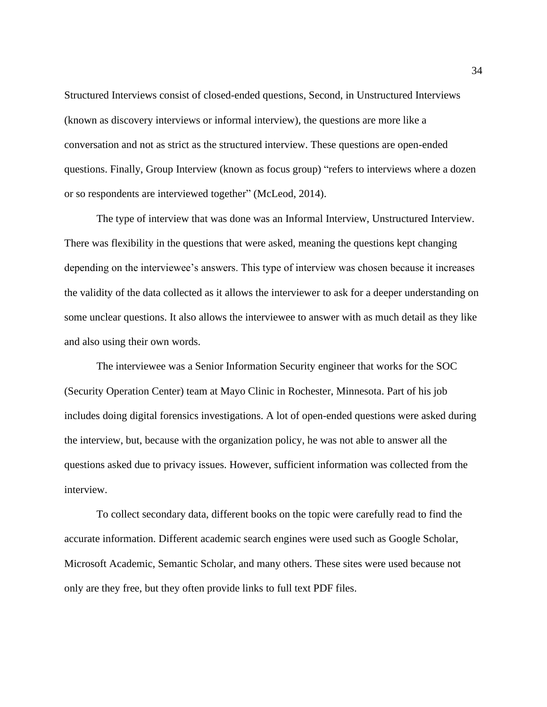Structured Interviews consist of closed-ended questions, Second, in Unstructured Interviews (known as discovery interviews or informal interview), the questions are more like a conversation and not as strict as the structured interview. These questions are open-ended questions. Finally, Group Interview (known as focus group) "refers to interviews where a dozen or so respondents are interviewed together" [\(McLeod, 2014\)](https://www.zotero.org/google-docs/?CllqAT).

The type of interview that was done was an Informal Interview, Unstructured Interview. There was flexibility in the questions that were asked, meaning the questions kept changing depending on the interviewee's answers. This type of interview was chosen because it increases the validity of the data collected as it allows the interviewer to ask for a deeper understanding on some unclear questions. It also allows the interviewee to answer with as much detail as they like and also using their own words.

The interviewee was a Senior Information Security engineer that works for the SOC (Security Operation Center) team at Mayo Clinic in Rochester, Minnesota. Part of his job includes doing digital forensics investigations. A lot of open-ended questions were asked during the interview, but, because with the organization policy, he was not able to answer all the questions asked due to privacy issues. However, sufficient information was collected from the interview.

To collect secondary data, different books on the topic were carefully read to find the accurate information. Different academic search engines were used such as Google Scholar, Microsoft Academic, Semantic Scholar, and many others. These sites were used because not only are they free, but they often provide links to full text PDF files.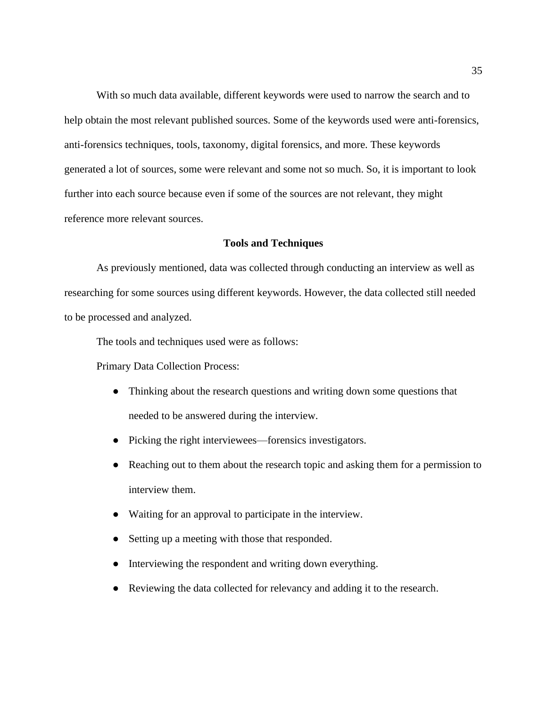With so much data available, different keywords were used to narrow the search and to help obtain the most relevant published sources. Some of the keywords used were anti-forensics, anti-forensics techniques, tools, taxonomy, digital forensics, and more. These keywords generated a lot of sources, some were relevant and some not so much. So, it is important to look further into each source because even if some of the sources are not relevant, they might reference more relevant sources.

#### **Tools and Techniques**

As previously mentioned, data was collected through conducting an interview as well as researching for some sources using different keywords. However, the data collected still needed to be processed and analyzed.

The tools and techniques used were as follows:

Primary Data Collection Process:

- Thinking about the research questions and writing down some questions that needed to be answered during the interview.
- Picking the right interviewees—forensics investigators.
- Reaching out to them about the research topic and asking them for a permission to interview them.
- Waiting for an approval to participate in the interview.
- Setting up a meeting with those that responded.
- Interviewing the respondent and writing down everything.
- Reviewing the data collected for relevancy and adding it to the research.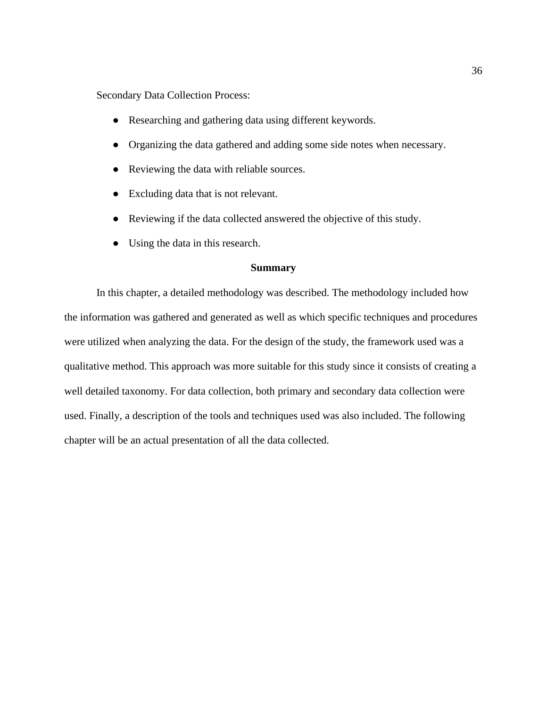Secondary Data Collection Process:

- Researching and gathering data using different keywords.
- Organizing the data gathered and adding some side notes when necessary.
- Reviewing the data with reliable sources.
- Excluding data that is not relevant.
- Reviewing if the data collected answered the objective of this study.
- Using the data in this research.

#### **Summary**

In this chapter, a detailed methodology was described. The methodology included how the information was gathered and generated as well as which specific techniques and procedures were utilized when analyzing the data. For the design of the study, the framework used was a qualitative method. This approach was more suitable for this study since it consists of creating a well detailed taxonomy. For data collection, both primary and secondary data collection were used. Finally, a description of the tools and techniques used was also included. The following chapter will be an actual presentation of all the data collected.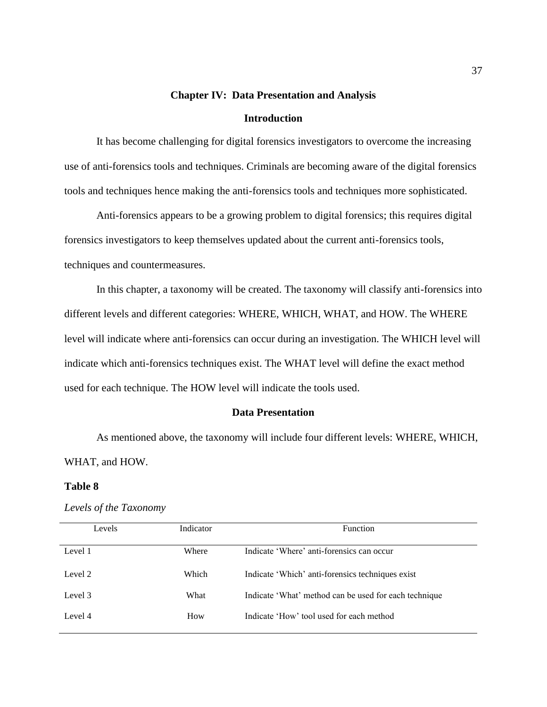# **Chapter IV: Data Presentation and Analysis Introduction**

It has become challenging for digital forensics investigators to overcome the increasing use of anti-forensics tools and techniques. Criminals are becoming aware of the digital forensics tools and techniques hence making the anti-forensics tools and techniques more sophisticated.

Anti-forensics appears to be a growing problem to digital forensics; this requires digital forensics investigators to keep themselves updated about the current anti-forensics tools, techniques and countermeasures.

In this chapter, a taxonomy will be created. The taxonomy will classify anti-forensics into different levels and different categories: WHERE, WHICH, WHAT, and HOW. The WHERE level will indicate where anti-forensics can occur during an investigation. The WHICH level will indicate which anti-forensics techniques exist. The WHAT level will define the exact method used for each technique. The HOW level will indicate the tools used.

#### **Data Presentation**

As mentioned above, the taxonomy will include four different levels: WHERE, WHICH, WHAT, and HOW.

#### **Table 8**

#### *Levels of the Taxonomy*

| Levels  | Indicator | <b>Function</b>                                       |
|---------|-----------|-------------------------------------------------------|
|         |           |                                                       |
| Level 1 | Where     | Indicate 'Where' anti-forensics can occur             |
|         |           |                                                       |
| Level 2 | Which     | Indicate 'Which' anti-forensics techniques exist      |
|         |           |                                                       |
| Level 3 | What      | Indicate 'What' method can be used for each technique |
|         |           |                                                       |
| Level 4 | How       | Indicate 'How' tool used for each method              |
|         |           |                                                       |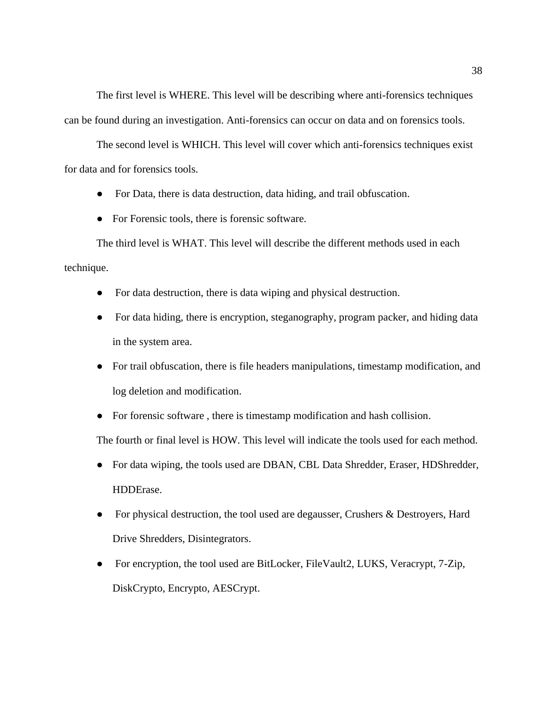The first level is WHERE. This level will be describing where anti-forensics techniques can be found during an investigation. Anti-forensics can occur on data and on forensics tools.

The second level is WHICH. This level will cover which anti-forensics techniques exist for data and for forensics tools.

- For Data, there is data destruction, data hiding, and trail obfuscation.
- For Forensic tools, there is forensic software.

The third level is WHAT. This level will describe the different methods used in each technique.

- For data destruction, there is data wiping and physical destruction.
- For data hiding, there is encryption, steganography, program packer, and hiding data in the system area.
- For trail obfuscation, there is file headers manipulations, timestamp modification, and log deletion and modification.
- For forensic software , there is timestamp modification and hash collision.

The fourth or final level is HOW. This level will indicate the tools used for each method.

- For data wiping, the tools used are DBAN, CBL Data Shredder, Eraser, HDShredder, HDDErase.
- For physical destruction, the tool used are degausser, Crushers & Destroyers, Hard Drive Shredders, Disintegrators.
- For encryption, the tool used are BitLocker, FileVault2, LUKS, Veracrypt, 7-Zip, DiskCrypto, Encrypto, AESCrypt.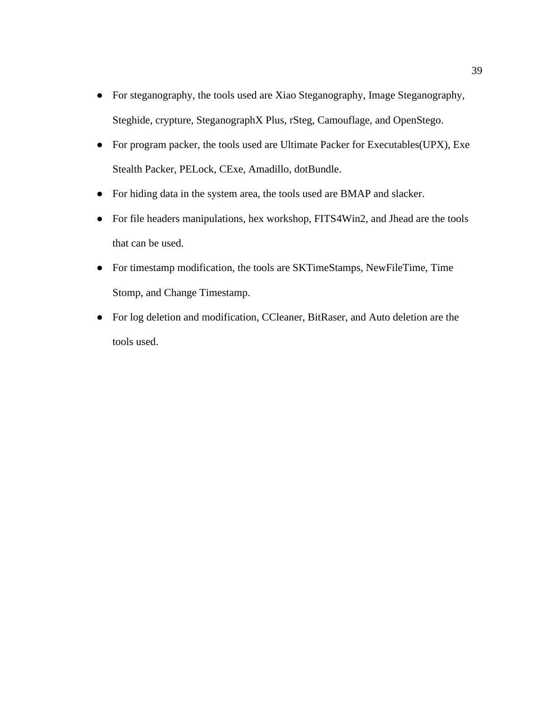- For steganography, the tools used are Xiao Steganography, Image Steganography, Steghide, crypture, SteganographX Plus, rSteg, Camouflage, and OpenStego.
- For program packer, the tools used are Ultimate Packer for Executables(UPX), Exe Stealth Packer, PELock, CExe, Amadillo, dotBundle.
- For hiding data in the system area, the tools used are BMAP and slacker.
- For file headers manipulations, hex workshop, FITS4Win2, and Jhead are the tools that can be used.
- For timestamp modification, the tools are SKTimeStamps, NewFileTime, Time Stomp, and Change Timestamp.
- For log deletion and modification, CCleaner, BitRaser, and Auto deletion are the tools used.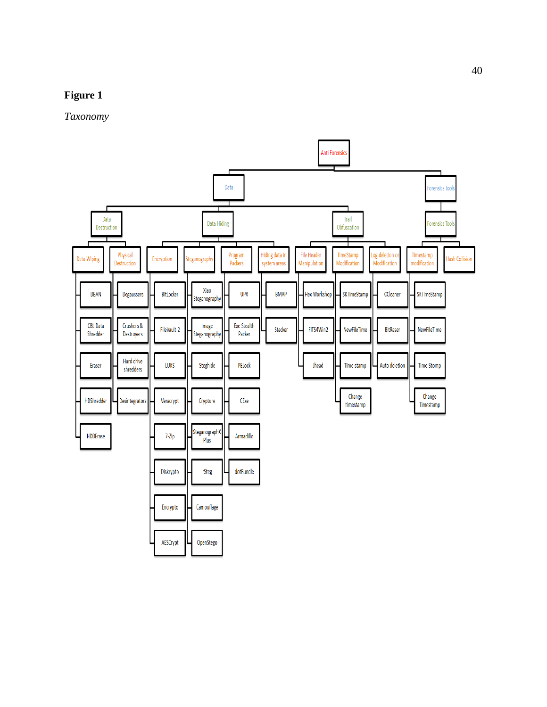## **Figure 1**

*Taxonomy*

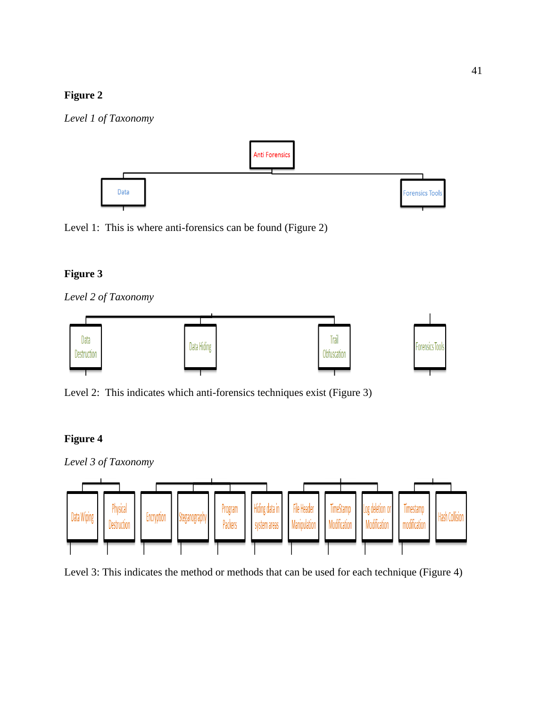## **Figure 2**







## **Figure 3**

*Level 2 of Taxonomy*



Level 2: This indicates which anti-forensics techniques exist (Figure 3)

## **Figure 4**



Level 3: This indicates the method or methods that can be used for each technique (Figure 4)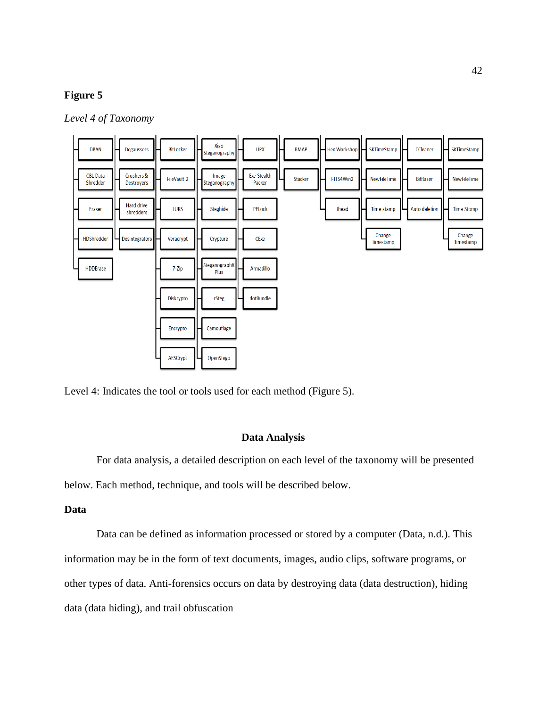## **Figure 5**

*Level 4 of Taxonomy*



Level 4: Indicates the tool or tools used for each method (Figure 5).

## **Data Analysis**

For data analysis, a detailed description on each level of the taxonomy will be presented below. Each method, technique, and tools will be described below.

#### **Data**

Data can be defined as information processed or stored by a computer (Data, n.d.). This information may be in the form of text documents, images, audio clips, software programs, or other types of data. Anti-forensics occurs on data by destroying data (data destruction), hiding data (data hiding), and trail obfuscation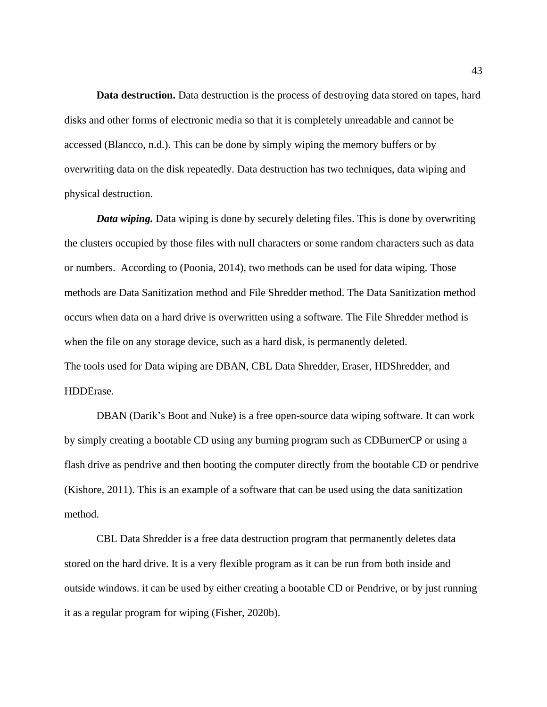**Data destruction.** Data destruction is the process of destroying data stored on tapes, hard disks and other forms of electronic media so that it is completely unreadable and cannot be accessed (Blancco, n.d.). This can be done by simply wiping the memory buffers or by overwriting data on the disk repeatedly. Data destruction has two techniques, data wiping and physical destruction.

*Data wiping.* Data wiping is done by securely deleting files. This is done by overwriting the clusters occupied by those files with null characters or some random characters such as data or numbers. According to [\(Poonia, 2014\),](https://www.zotero.org/google-docs/?rMQo2f) two methods can be used for data wiping. Those methods are Data Sanitization method and File Shredder method. The Data Sanitization method occurs when data on a hard drive is overwritten using a software. The File Shredder method is when the file on any storage device, such as a hard disk, is permanently deleted. The tools used for Data wiping are DBAN, CBL Data Shredder, Eraser, HDShredder, and HDDErase.

DBAN (Darik's Boot and Nuke) is a free open-source data wiping software. It can work by simply creating a bootable CD using any burning program such as CDBurnerCP or using a flash drive as pendrive and then booting the computer directly from the bootable CD or pendrive (Kishore, 2011). This is an example of a software that can be used using the data sanitization method.

CBL Data Shredder is a free data destruction program that permanently deletes data stored on the hard drive. It is a very flexible program as it can be run from both inside and outside windows. it can be used by either creating a bootable CD or Pendrive, or by just running it as a regular program for wiping [\(Fisher, 2020b\).](https://www.zotero.org/google-docs/?eDMJHo)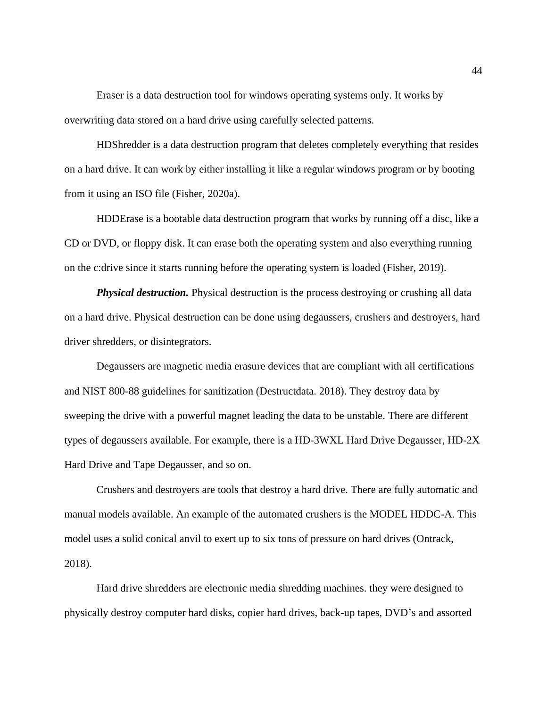Eraser is a data destruction tool for windows operating systems only. It works by overwriting data stored on a hard drive using carefully selected patterns.

HDShredder is a data destruction program that deletes completely everything that resides on a hard drive. It can work by either installing it like a regular windows program or by booting from it using an ISO file [\(Fisher, 2020a\).](https://www.zotero.org/google-docs/?fuiZYD)

HDDErase is a bootable data destruction program that works by running off a disc, like a CD or DVD, or floppy disk. It can erase both the operating system and also everything running on the c:drive since it starts running before the operating system is loaded [\(Fisher, 2019\).](https://www.zotero.org/google-docs/?03u2m5)

*Physical destruction.* Physical destruction is the process destroying or crushing all data on a hard drive. Physical destruction can be done using degaussers, crushers and destroyers, hard driver shredders, or disintegrators.

Degaussers are magnetic media erasure devices that are compliant with all certifications and NIST 800-88 guidelines for sanitization (Destructdata. 2018). They destroy data by sweeping the drive with a powerful magnet leading the data to be unstable. There are different types of degaussers available. For example, there is a HD-3WXL Hard Drive Degausser, HD-2X Hard Drive and Tape Degausser, and so on.

Crushers and destroyers are tools that destroy a hard drive. There are fully automatic and manual models available. An example of the automated crushers is the MODEL HDDC-A. This model uses a solid conical anvil to exert up to six tons of pressure on hard drives (Ontrack, 2018).

Hard drive shredders are electronic media shredding machines. they were designed to physically destroy computer hard disks, copier hard drives, back-up tapes, DVD's and assorted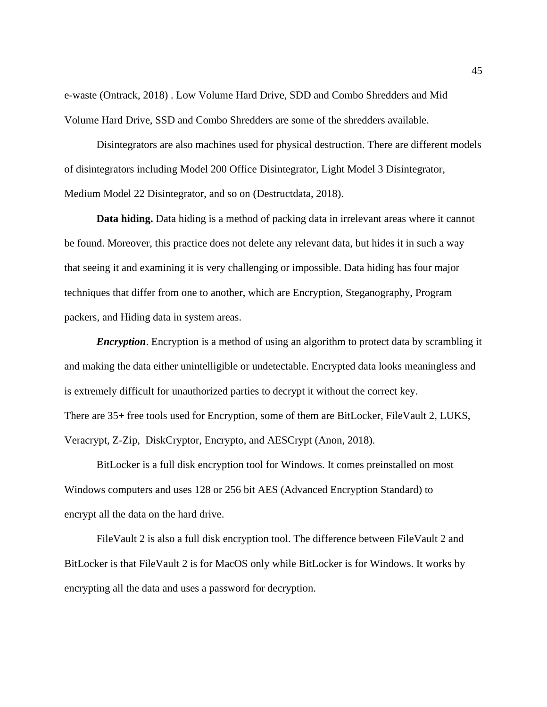e-waste (Ontrack, 2018) . Low Volume Hard Drive, SDD and Combo Shredders and Mid Volume Hard Drive, SSD and Combo Shredders are some of the shredders available.

Disintegrators are also machines used for physical destruction. There are different models of disintegrators including Model 200 Office Disintegrator, Light Model 3 Disintegrator, Medium Model 22 Disintegrator, and so on (Destructdata, 2018).

**Data hiding.** Data hiding is a method of packing data in irrelevant areas where it cannot be found. Moreover, this practice does not delete any relevant data, but hides it in such a way that seeing it and examining it is very challenging or impossible. Data hiding has four major techniques that differ from one to another, which are Encryption, Steganography, Program packers, and Hiding data in system areas.

*Encryption*. Encryption is a method of using an algorithm to protect data by scrambling it and making the data either unintelligible or undetectable. Encrypted data looks meaningless and is extremely difficult for unauthorized parties to decrypt it without the correct key. There are 35+ free tools used for Encryption, some of them are BitLocker, FileVault 2, LUKS, Veracrypt, Z-Zip, DiskCryptor, Encrypto, and AESCrypt (Anon, 2018).

BitLocker is a full disk encryption tool for Windows. It comes preinstalled on most Windows computers and uses 128 or 256 bit AES (Advanced Encryption Standard) to encrypt all the data on the hard drive.

FileVault 2 is also a full disk encryption tool. The difference between FileVault 2 and BitLocker is that FileVault 2 is for MacOS only while BitLocker is for Windows. It works by encrypting all the data and uses a password for decryption.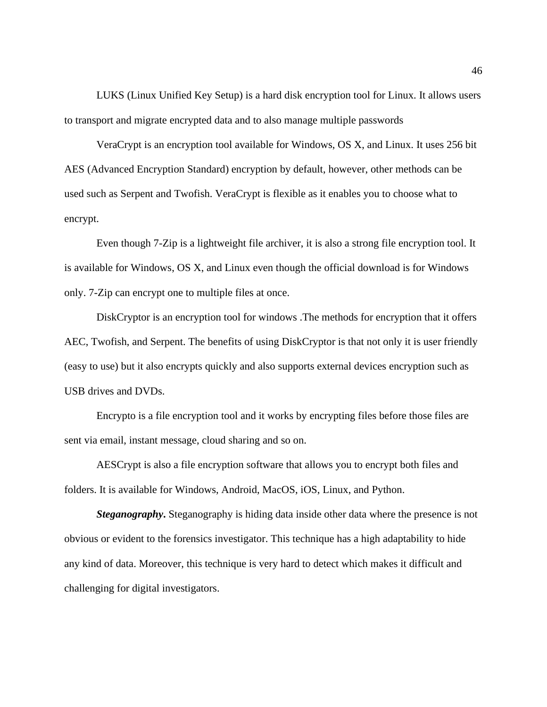LUKS (Linux Unified Key Setup) is a hard disk encryption tool for Linux. It allows users to transport and migrate encrypted data and to also manage multiple passwords

VeraCrypt is an encryption tool available for Windows, OS X, and Linux. It uses 256 bit AES (Advanced Encryption Standard) encryption by default, however, other methods can be used such as Serpent and Twofish. VeraCrypt is flexible as it enables you to choose what to encrypt.

Even though 7-Zip is a lightweight file archiver, it is also a strong file encryption tool. It is available for Windows, OS X, and Linux even though the official download is for Windows only. 7-Zip can encrypt one to multiple files at once.

DiskCryptor is an encryption tool for windows .The methods for encryption that it offers AEC, Twofish, and Serpent. The benefits of using DiskCryptor is that not only it is user friendly (easy to use) but it also encrypts quickly and also supports external devices encryption such as USB drives and DVDs.

Encrypto is a file encryption tool and it works by encrypting files before those files are sent via email, instant message, cloud sharing and so on.

AESCrypt is also a file encryption software that allows you to encrypt both files and folders. It is available for Windows, Android, MacOS, iOS, Linux, and Python.

*Steganography***.** Steganography is hiding data inside other data where the presence is not obvious or evident to the forensics investigator. This technique has a high adaptability to hide any kind of data. Moreover, this technique is very hard to detect which makes it difficult and challenging for digital investigators.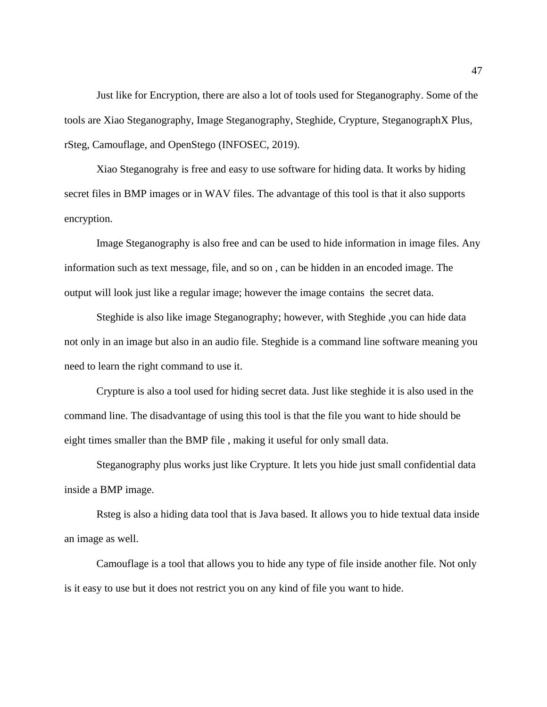Just like for Encryption, there are also a lot of tools used for Steganography. Some of the tools are Xiao Steganography, Image Steganography, Steghide, Crypture, SteganographX Plus, rSteg, Camouflage, and OpenStego (INFOSEC, 2019).

Xiao Steganograhy is free and easy to use software for hiding data. It works by hiding secret files in BMP images or in WAV files. The advantage of this tool is that it also supports encryption.

Image Steganography is also free and can be used to hide information in image files. Any information such as text message, file, and so on , can be hidden in an encoded image. The output will look just like a regular image; however the image contains the secret data.

Steghide is also like image Steganography; however, with Steghide ,you can hide data not only in an image but also in an audio file. Steghide is a command line software meaning you need to learn the right command to use it.

Crypture is also a tool used for hiding secret data. Just like steghide it is also used in the command line. The disadvantage of using this tool is that the file you want to hide should be eight times smaller than the BMP file , making it useful for only small data.

Steganography plus works just like Crypture. It lets you hide just small confidential data inside a BMP image.

Rsteg is also a hiding data tool that is Java based. It allows you to hide textual data inside an image as well.

Camouflage is a tool that allows you to hide any type of file inside another file. Not only is it easy to use but it does not restrict you on any kind of file you want to hide.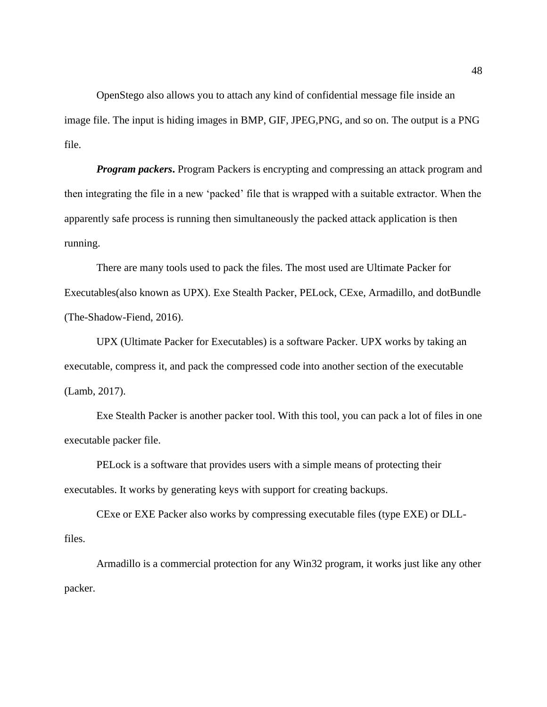OpenStego also allows you to attach any kind of confidential message file inside an image file. The input is hiding images in BMP, GIF, JPEG,PNG, and so on. The output is a PNG file.

*Program packers*. Program Packers is encrypting and compressing an attack program and then integrating the file in a new 'packed' file that is wrapped with a suitable extractor. When the apparently safe process is running then simultaneously the packed attack application is then running.

There are many tools used to pack the files. The most used are Ultimate Packer for Executables(also known as UPX). Exe Stealth Packer, PELock, CExe, Armadillo, and dotBundle (The-Shadow-Fiend, 2016).

UPX (Ultimate Packer for Executables) is a software Packer. UPX works by taking an executable, compress it, and pack the compressed code into another section of the executable [\(Lamb, 2017\).](https://www.zotero.org/google-docs/?kS886W)

Exe Stealth Packer is another packer tool. With this tool, you can pack a lot of files in one executable packer file.

PELock is a software that provides users with a simple means of protecting their executables. It works by generating keys with support for creating backups.

CExe or EXE Packer also works by compressing executable files (type EXE) or DLLfiles.

Armadillo is a commercial protection for any Win32 program, it works just like any other packer.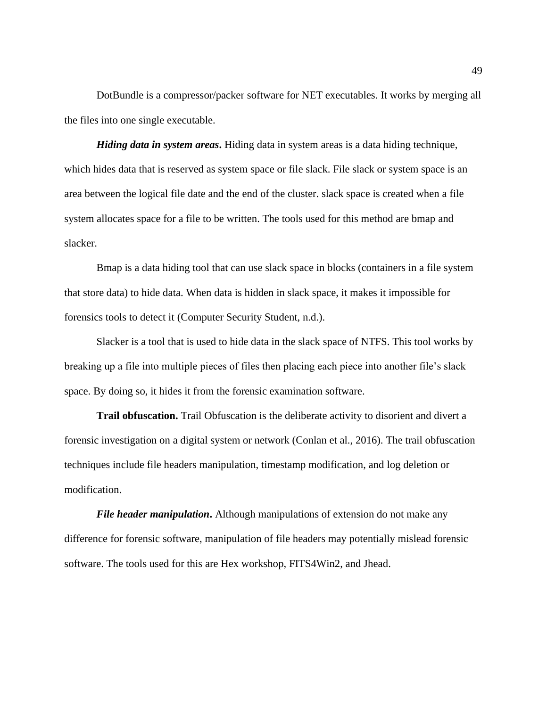DotBundle is a compressor/packer software for NET executables. It works by merging all the files into one single executable.

*Hiding data in system areas***.** Hiding data in system areas is a data hiding technique, which hides data that is reserved as system space or file slack. File slack or system space is an area between the logical file date and the end of the cluster. slack space is created when a file system allocates space for a file to be written. The tools used for this method are bmap and slacker.

Bmap is a data hiding tool that can use slack space in blocks (containers in a file system that store data) to hide data. When data is hidden in slack space, it makes it impossible for forensics tools to detect it (Computer Security Student, n.d.).

Slacker is a tool that is used to hide data in the slack space of NTFS. This tool works by breaking up a file into multiple pieces of files then placing each piece into another file's slack space. By doing so, it hides it from the forensic examination software.

**Trail obfuscation.** Trail Obfuscation is the deliberate activity to disorient and divert a forensic investigation on a digital system or network (Conlan et al., 2016). The trail obfuscation techniques include file headers manipulation, timestamp modification, and log deletion or modification.

*File header manipulation***.** Although manipulations of extension do not make any difference for forensic software, manipulation of file headers may potentially mislead forensic software. The tools used for this are Hex workshop, FITS4Win2, and Jhead.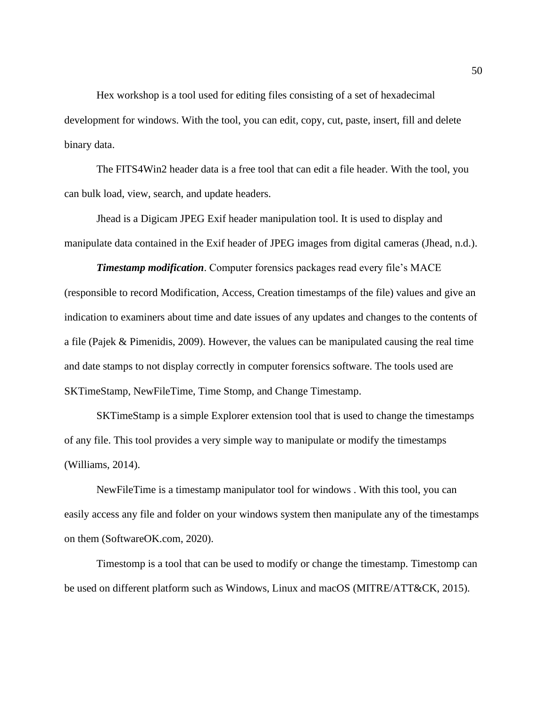Hex workshop is a tool used for editing files consisting of a set of hexadecimal development for windows. With the tool, you can edit, copy, cut, paste, insert, fill and delete binary data.

The FITS4Win2 header data is a free tool that can edit a file header. With the tool, you can bulk load, view, search, and update headers.

Jhead is a Digicam JPEG Exif header manipulation tool. It is used to display and manipulate data contained in the Exif header of JPEG images from digital cameras (Jhead, n.d.).

*Timestamp modification*. Computer forensics packages read every file's MACE (responsible to record Modification, Access, Creation timestamps of the file) values and give an indication to examiners about time and date issues of any updates and changes to the contents of a file (Pajek & Pimenidis, 2009). However, the values can be manipulated causing the real time and date stamps to not display correctly in computer forensics software. The tools used are SKTimeStamp, NewFileTime, Time Stomp, and Change Timestamp.

SKTimeStamp is a simple Explorer extension tool that is used to change the timestamps of any file. This tool provides a very simple way to manipulate or modify the timestamps [\(Williams, 2014\).](https://www.zotero.org/google-docs/?xXFBou)

NewFileTime is a timestamp manipulator tool for windows . With this tool, you can easily access any file and folder on your windows system then manipulate any of the timestamps on them (SoftwareOK.com, 2020).

Timestomp is a tool that can be used to modify or change the timestamp. Timestomp can be used on different platform such as Windows, Linux and macOS (MITRE/ATT&CK, 2015).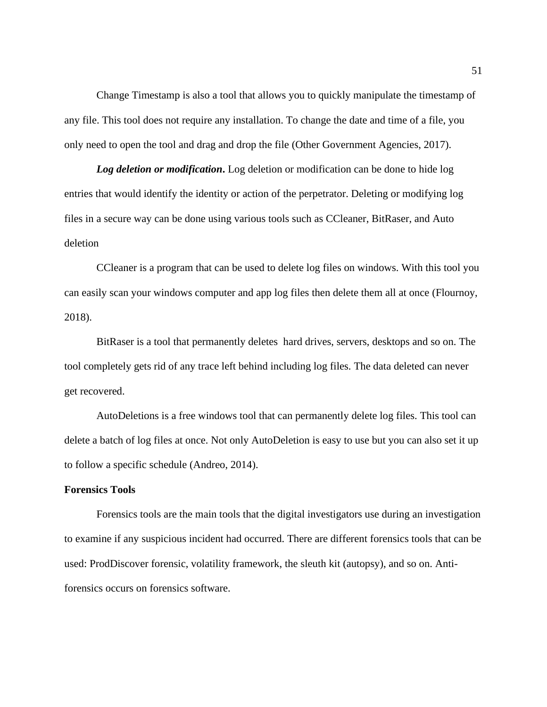Change Timestamp is also a tool that allows you to quickly manipulate the timestamp of any file. This tool does not require any installation. To change the date and time of a file, you only need to open the tool and drag and drop the file (Other Government Agencies, 2017).

*Log deletion or modification***.** Log deletion or modification can be done to hide log entries that would identify the identity or action of the perpetrator. Deleting or modifying log files in a secure way can be done using various tools such as CCleaner, BitRaser, and Auto deletion

CCleaner is a program that can be used to delete log files on windows. With this tool you can easily scan your windows computer and app log files then delete them all at once [\(Flournoy,](https://www.zotero.org/google-docs/?DjTBuv)  [2018\).](https://www.zotero.org/google-docs/?DjTBuv)

BitRaser is a tool that permanently deletes hard drives, servers, desktops and so on. The tool completely gets rid of any trace left behind including log files. The data deleted can never get recovered.

AutoDeletions is a free windows tool that can permanently delete log files. This tool can delete a batch of log files at once. Not only AutoDeletion is easy to use but you can also set it up to follow a specific schedule [\(Andreo, 2014\)](https://www.zotero.org/google-docs/?CfGu2N).

#### **Forensics Tools**

Forensics tools are the main tools that the digital investigators use during an investigation to examine if any suspicious incident had occurred. There are different forensics tools that can be used: ProdDiscover forensic, volatility framework, the sleuth kit (autopsy), and so on. Antiforensics occurs on forensics software.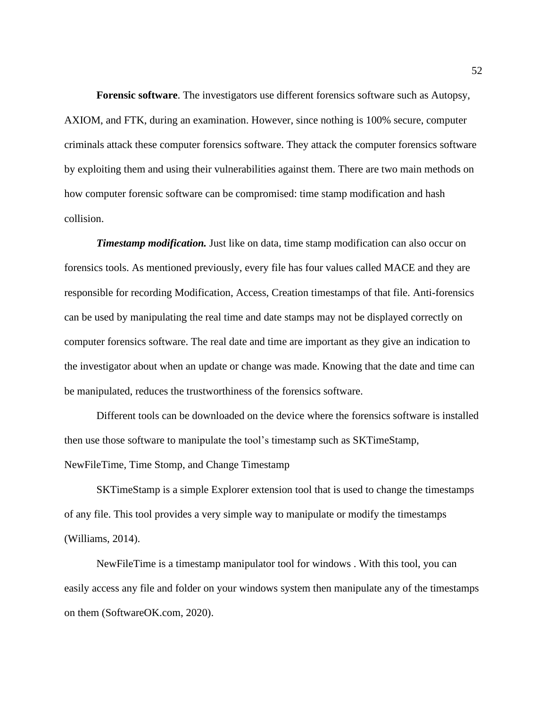**Forensic software**. The investigators use different forensics software such as Autopsy, AXIOM, and FTK, during an examination. However, since nothing is 100% secure, computer criminals attack these computer forensics software. They attack the computer forensics software by exploiting them and using their vulnerabilities against them. There are two main methods on how computer forensic software can be compromised: time stamp modification and hash collision.

*Timestamp modification.* Just like on data, time stamp modification can also occur on forensics tools. As mentioned previously, every file has four values called MACE and they are responsible for recording Modification, Access, Creation timestamps of that file. Anti-forensics can be used by manipulating the real time and date stamps may not be displayed correctly on computer forensics software. The real date and time are important as they give an indication to the investigator about when an update or change was made. Knowing that the date and time can be manipulated, reduces the trustworthiness of the forensics software.

Different tools can be downloaded on the device where the forensics software is installed then use those software to manipulate the tool's timestamp such as SKTimeStamp, NewFileTime, Time Stomp, and Change Timestamp

SKTimeStamp is a simple Explorer extension tool that is used to change the timestamps of any file. This tool provides a very simple way to manipulate or modify the timestamps [\(Williams, 2014\).](https://www.zotero.org/google-docs/?X3cWP6)

NewFileTime is a timestamp manipulator tool for windows . With this tool, you can easily access any file and folder on your windows system then manipulate any of the timestamps on them (SoftwareOK.com, 2020).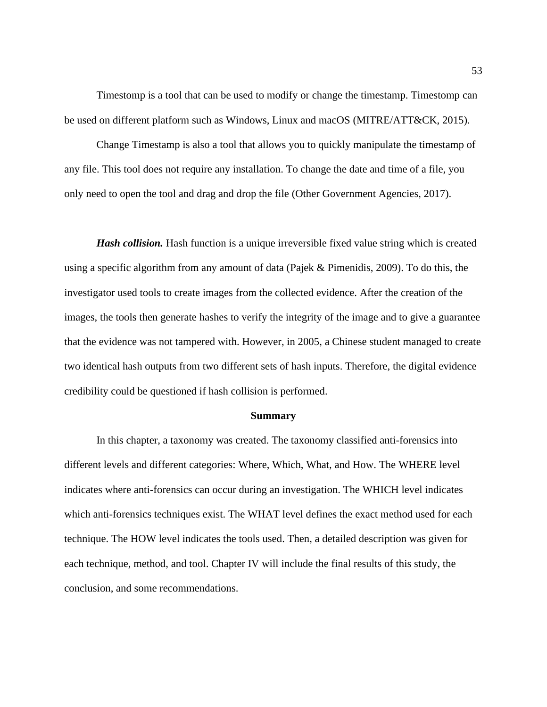Timestomp is a tool that can be used to modify or change the timestamp. Timestomp can be used on different platform such as Windows, Linux and macOS (MITRE/ATT&CK, 2015).

Change Timestamp is also a tool that allows you to quickly manipulate the timestamp of any file. This tool does not require any installation. To change the date and time of a file, you only need to open the tool and drag and drop the file (Other Government Agencies, 2017).

*Hash collision.* Hash function is a unique irreversible fixed value string which is created using a specific algorithm from any amount of data (Pajek & Pimenidis, 2009). To do this, the investigator used tools to create images from the collected evidence. After the creation of the images, the tools then generate hashes to verify the integrity of the image and to give a guarantee that the evidence was not tampered with. However, in 2005, a Chinese student managed to create two identical hash outputs from two different sets of hash inputs. Therefore, the digital evidence credibility could be questioned if hash collision is performed.

#### **Summary**

In this chapter, a taxonomy was created. The taxonomy classified anti-forensics into different levels and different categories: Where, Which, What, and How. The WHERE level indicates where anti-forensics can occur during an investigation. The WHICH level indicates which anti-forensics techniques exist. The WHAT level defines the exact method used for each technique. The HOW level indicates the tools used. Then, a detailed description was given for each technique, method, and tool. Chapter IV will include the final results of this study, the conclusion, and some recommendations.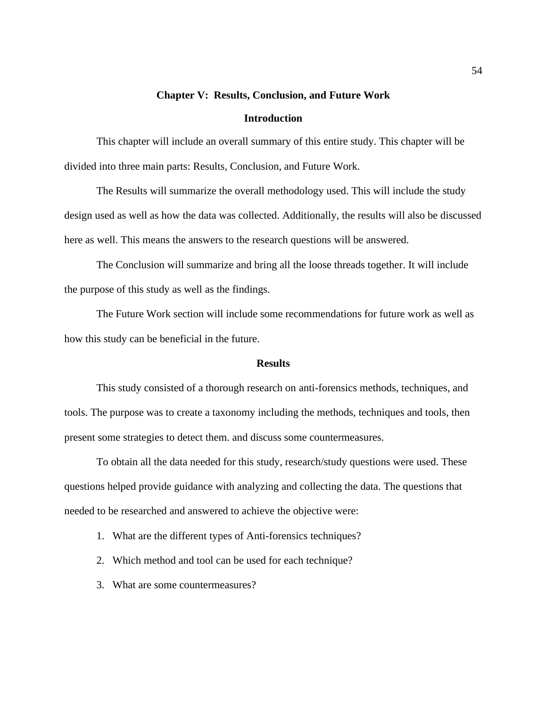# **Chapter V: Results, Conclusion, and Future Work Introduction**

This chapter will include an overall summary of this entire study. This chapter will be divided into three main parts: Results, Conclusion, and Future Work.

The Results will summarize the overall methodology used. This will include the study design used as well as how the data was collected. Additionally, the results will also be discussed here as well. This means the answers to the research questions will be answered.

The Conclusion will summarize and bring all the loose threads together. It will include the purpose of this study as well as the findings.

The Future Work section will include some recommendations for future work as well as how this study can be beneficial in the future.

#### **Results**

This study consisted of a thorough research on anti-forensics methods, techniques, and tools. The purpose was to create a taxonomy including the methods, techniques and tools, then present some strategies to detect them. and discuss some countermeasures.

To obtain all the data needed for this study, research/study questions were used. These questions helped provide guidance with analyzing and collecting the data. The questions that needed to be researched and answered to achieve the objective were:

- 1. What are the different types of Anti-forensics techniques?
- 2. Which method and tool can be used for each technique?
- 3. What are some countermeasures?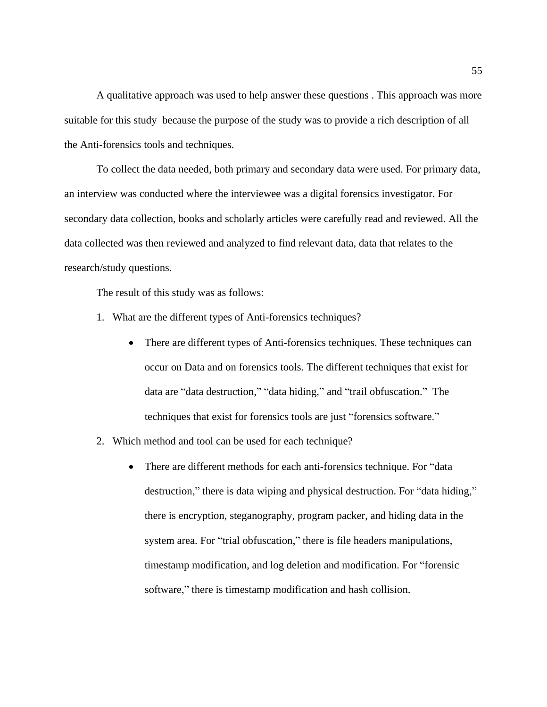A qualitative approach was used to help answer these questions . This approach was more suitable for this study because the purpose of the study was to provide a rich description of all the Anti-forensics tools and techniques.

To collect the data needed, both primary and secondary data were used. For primary data, an interview was conducted where the interviewee was a digital forensics investigator. For secondary data collection, books and scholarly articles were carefully read and reviewed. All the data collected was then reviewed and analyzed to find relevant data, data that relates to the research/study questions.

The result of this study was as follows:

- 1. What are the different types of Anti-forensics techniques?
	- There are different types of Anti-forensics techniques. These techniques can occur on Data and on forensics tools. The different techniques that exist for data are "data destruction," "data hiding," and "trail obfuscation." The techniques that exist for forensics tools are just "forensics software."
- 2. Which method and tool can be used for each technique?
	- There are different methods for each anti-forensics technique. For "data destruction," there is data wiping and physical destruction. For "data hiding," there is encryption, steganography, program packer, and hiding data in the system area. For "trial obfuscation," there is file headers manipulations, timestamp modification, and log deletion and modification. For "forensic software," there is timestamp modification and hash collision.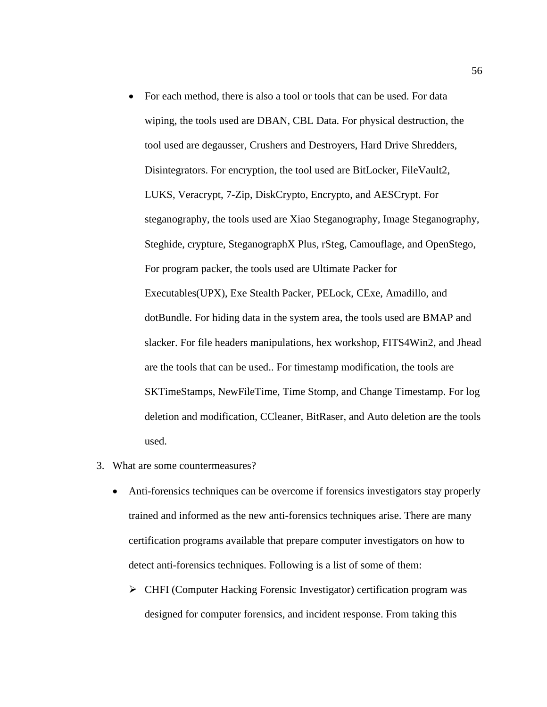- For each method, there is also a tool or tools that can be used. For data wiping, the tools used are DBAN, CBL Data. For physical destruction, the tool used are degausser, Crushers and Destroyers, Hard Drive Shredders, Disintegrators. For encryption, the tool used are BitLocker, FileVault2, LUKS, Veracrypt, 7-Zip, DiskCrypto, Encrypto, and AESCrypt. For steganography, the tools used are Xiao Steganography, Image Steganography, Steghide, crypture, SteganographX Plus, rSteg, Camouflage, and OpenStego, For program packer, the tools used are Ultimate Packer for Executables(UPX), Exe Stealth Packer, PELock, CExe, Amadillo, and dotBundle. For hiding data in the system area, the tools used are BMAP and slacker. For file headers manipulations, hex workshop, FITS4Win2, and Jhead are the tools that can be used.. For timestamp modification, the tools are SKTimeStamps, NewFileTime, Time Stomp, and Change Timestamp. For log deletion and modification, CCleaner, BitRaser, and Auto deletion are the tools used.
- 3. What are some countermeasures?
	- Anti-forensics techniques can be overcome if forensics investigators stay properly trained and informed as the new anti-forensics techniques arise. There are many certification programs available that prepare computer investigators on how to detect anti-forensics techniques. Following is a list of some of them:
		- ➢ CHFI (Computer Hacking Forensic Investigator) certification program was designed for computer forensics, and incident response. From taking this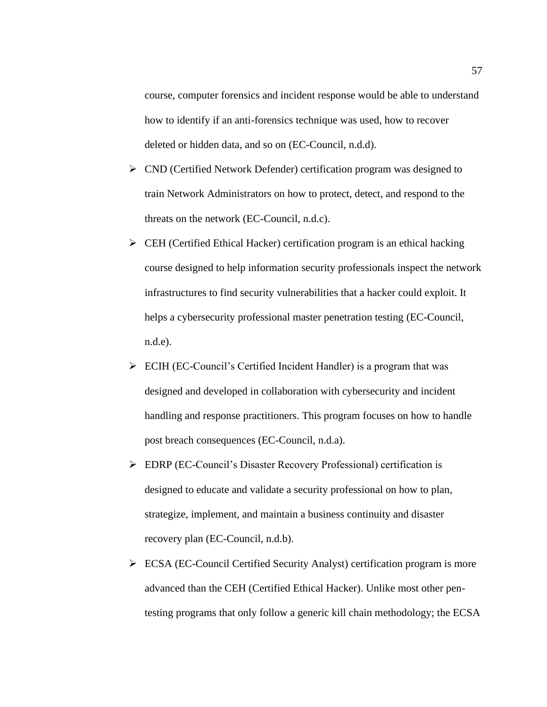course, computer forensics and incident response would be able to understand how to identify if an anti-forensics technique was used, how to recover deleted or hidden data, and so on (EC-Council, n.d.d).

- ➢ CND (Certified Network Defender) certification program was designed to train Network Administrators on how to protect, detect, and respond to the threats on the network [\(E](https://www.zotero.org/google-docs/?riyJ2E)C-Council, n.d.c).
- $\triangleright$  CEH (Certified Ethical Hacker) certification program is an ethical hacking course designed to help information security professionals inspect the network infrastructures to find security vulnerabilities that a hacker could exploit. It helps a cybersecurity professional master penetration testing (EC-Council, n.d.e).
- ➢ ECIH (EC-Council's Certified Incident Handler) is a program that was designed and developed in collaboration with cybersecurity and incident handling and response practitioners. This program focuses on how to handle post breach consequences (EC-Council, n.d.a).
- ➢ EDRP (EC-Council's Disaster Recovery Professional) certification is designed to educate and validate a security professional on how to plan, strategize, implement, and maintain a business continuity and disaster recovery plan [\(E](https://www.zotero.org/google-docs/?Q2ruAi)C-Council, n.d.b).
- ➢ ECSA (EC-Council Certified Security Analyst) certification program is more advanced than the CEH (Certified Ethical Hacker). Unlike most other pentesting programs that only follow a generic kill chain methodology; the ECSA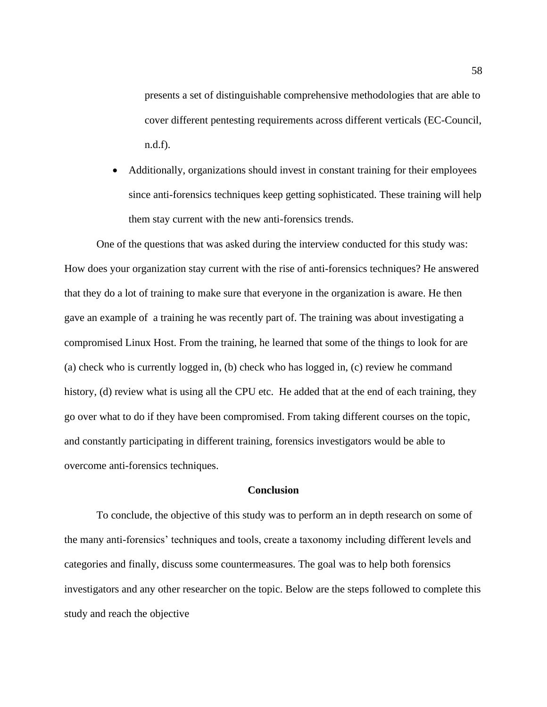presents a set of distinguishable comprehensive methodologies that are able to cover different pentesting requirements across different verticals (EC-Council, n.d.f).

• Additionally, organizations should invest in constant training for their employees since anti-forensics techniques keep getting sophisticated. These training will help them stay current with the new anti-forensics trends.

One of the questions that was asked during the interview conducted for this study was: How does your organization stay current with the rise of anti-forensics techniques? He answered that they do a lot of training to make sure that everyone in the organization is aware. He then gave an example of a training he was recently part of. The training was about investigating a compromised Linux Host. From the training, he learned that some of the things to look for are (a) check who is currently logged in, (b) check who has logged in, (c) review he command history, (d) review what is using all the CPU etc. He added that at the end of each training, they go over what to do if they have been compromised. From taking different courses on the topic, and constantly participating in different training, forensics investigators would be able to overcome anti-forensics techniques.

#### **Conclusion**

To conclude, the objective of this study was to perform an in depth research on some of the many anti-forensics' techniques and tools, create a taxonomy including different levels and categories and finally, discuss some countermeasures. The goal was to help both forensics investigators and any other researcher on the topic. Below are the steps followed to complete this study and reach the objective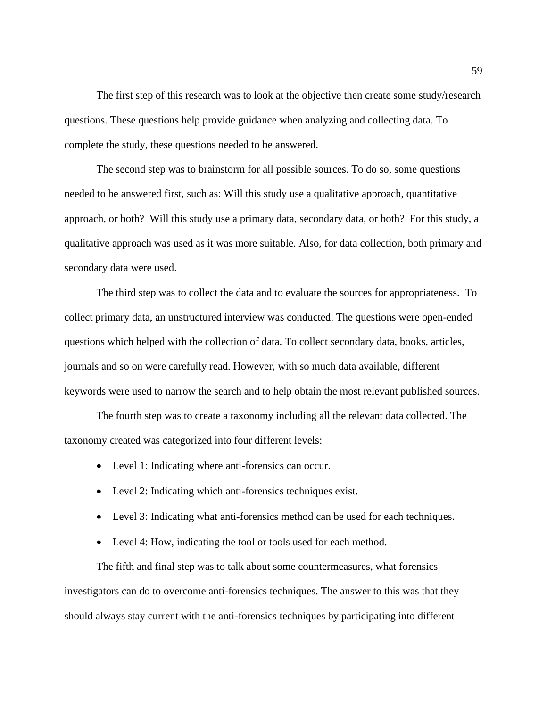The first step of this research was to look at the objective then create some study/research questions. These questions help provide guidance when analyzing and collecting data. To complete the study, these questions needed to be answered.

The second step was to brainstorm for all possible sources. To do so, some questions needed to be answered first, such as: Will this study use a qualitative approach, quantitative approach, or both? Will this study use a primary data, secondary data, or both? For this study, a qualitative approach was used as it was more suitable. Also, for data collection, both primary and secondary data were used.

The third step was to collect the data and to evaluate the sources for appropriateness. To collect primary data, an unstructured interview was conducted. The questions were open-ended questions which helped with the collection of data. To collect secondary data, books, articles, journals and so on were carefully read. However, with so much data available, different keywords were used to narrow the search and to help obtain the most relevant published sources.

The fourth step was to create a taxonomy including all the relevant data collected. The taxonomy created was categorized into four different levels:

- Level 1: Indicating where anti-forensics can occur.
- Level 2: Indicating which anti-forensics techniques exist.
- Level 3: Indicating what anti-forensics method can be used for each techniques.
- Level 4: How, indicating the tool or tools used for each method.

The fifth and final step was to talk about some countermeasures, what forensics investigators can do to overcome anti-forensics techniques. The answer to this was that they should always stay current with the anti-forensics techniques by participating into different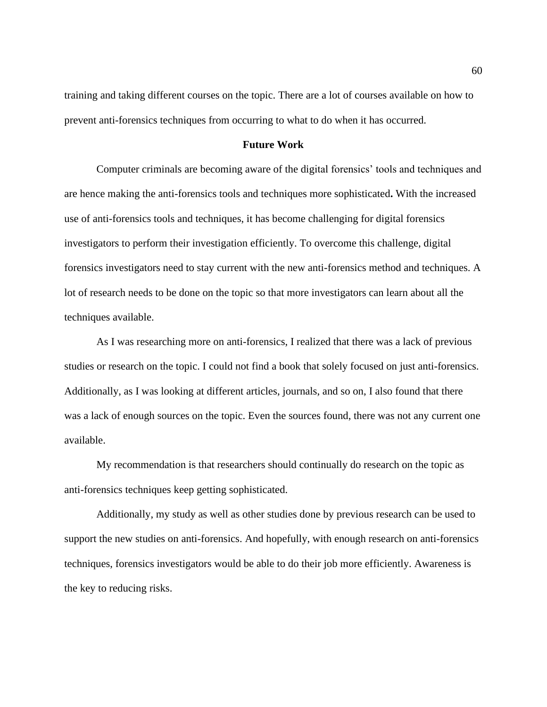training and taking different courses on the topic. There are a lot of courses available on how to prevent anti-forensics techniques from occurring to what to do when it has occurred.

#### **Future Work**

Computer criminals are becoming aware of the digital forensics' tools and techniques and are hence making the anti-forensics tools and techniques more sophisticated**.** With the increased use of anti-forensics tools and techniques, it has become challenging for digital forensics investigators to perform their investigation efficiently. To overcome this challenge, digital forensics investigators need to stay current with the new anti-forensics method and techniques. A lot of research needs to be done on the topic so that more investigators can learn about all the techniques available.

As I was researching more on anti-forensics, I realized that there was a lack of previous studies or research on the topic. I could not find a book that solely focused on just anti-forensics. Additionally, as I was looking at different articles, journals, and so on, I also found that there was a lack of enough sources on the topic. Even the sources found, there was not any current one available.

My recommendation is that researchers should continually do research on the topic as anti-forensics techniques keep getting sophisticated.

Additionally, my study as well as other studies done by previous research can be used to support the new studies on anti-forensics. And hopefully, with enough research on anti-forensics techniques, forensics investigators would be able to do their job more efficiently. Awareness is the key to reducing risks.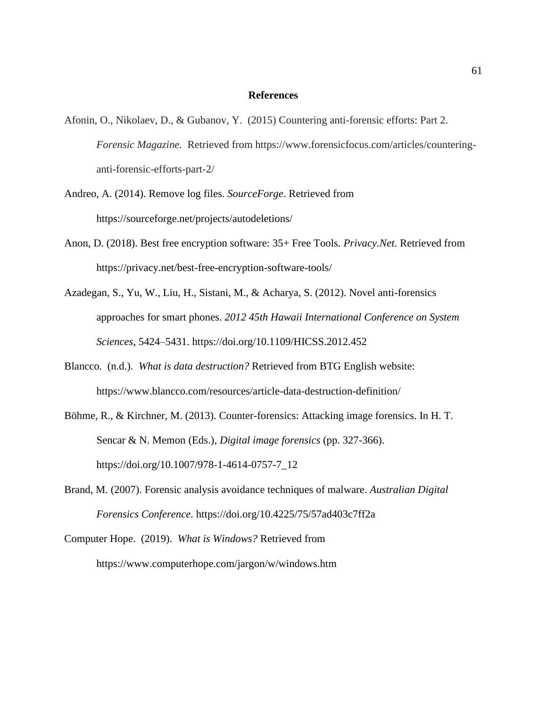#### **References**

- Afonin, O., Nikolaev, D., & Gubanov, Y. (2015) Countering anti-forensic efforts: Part 2. *Forensic Magazine.* Retrieved from https://www.forensicfocus.com/articles/counteringanti-forensic-efforts-part-2/
- [Andreo, A. \(2014\). R](https://www.zotero.org/google-docs/?SUHEWz)emove log files. *SourceForge*. Retrieved from https://sourceforge.net/projects/autodeletions/
- Anon, D. (2018). Best [free encryption software: 35+ Free Tools.](https://www.zotero.org/google-docs/?SUHEWz) *[Privacy.Net](https://www.zotero.org/google-docs/?SUHEWz)*. Retrieved from https://privacy.net/best-free-encryption-software-tools/
- Azadegan, S., Yu, W., Liu, H., Sistani, M., & Acharya, S. (2012). Novel anti-forensics approaches for smart phones. *2012 45th Hawaii International Conference on System Sciences*, 5424–5431. https://doi.org/10.1109/HICSS.2012.452
- Blancco. (n.d.). *What is data destruction?* Retrieved from BTG English website: https://www.blancco.com/resources/article-data-destruction-definition/
- Böhme, R., & Kirchner, M. (2013). Counter-forensics: Attacking image forensics. In H. T. Sencar & N. Memon (Eds.), *Digital image forensics* (pp. 327-366). https://doi.org/10.1007/978-1-4614-0757-7\_12
- Brand, M. (2007). Forensic analysis avoidance techniques of malware. *Australian Digital Forensics Conference*. https://doi.org/10.4225/75/57ad403c7ff2a
- Computer Hope. (2019). *[What is Windows?](https://www.zotero.org/google-docs/?SUHEWz)* Retrieved from https://www.computerhope.com/jargon/w/windows.htm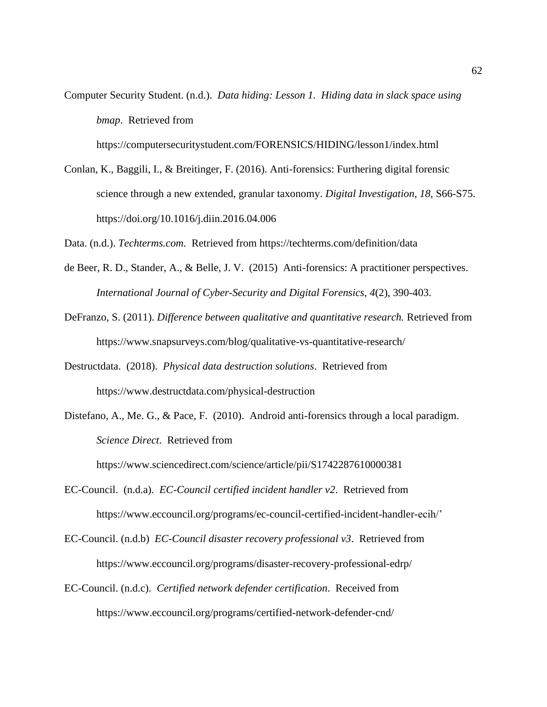Computer Security Student. (n.d.). *Data hiding: Lesson 1. Hiding data in slack space using bmap*. Retrieved from

https://computersecuritystudent.com/FORENSICS/HIDING/lesson1/index.html

Conlan, K., Baggili, I., & Breitinger, F. (2016). Anti-forensics: Furthering digital forensic science through a new extended, granular taxonomy. *Digital Investigation*, *18*, S66-S75. https://doi.org/10.1016/j.diin.2016.04.006

Data. (n.d.). *Techterms.com.* Retrieved from https://techterms.com/definition/data

- de Beer, R. D., Stander, A., & Belle, J. V. (2015) Anti-forensics: A practitioner perspectives. *International Journal of Cyber-Security and Digital Forensics, 4*(2), 390-403.
- [DeFranzo, S. \(2011\).](https://www.zotero.org/google-docs/?SUHEWz) *[Difference between qualitative and quantitative research.](https://www.zotero.org/google-docs/?SUHEWz)* Retrieved from https://www.snapsurveys.com/blog/qualitative-vs-quantitative-research/
- Destructdata. (2018). *Physical data destruction solutions*. Retrieved from https://www.destructdata.com/physical-destruction
- Distefano, A., Me. G., & Pace, F. (2010). Android anti-forensics through a local paradigm. *Science Direct*. Retrieved from

https://www.sciencedirect.com/science/article/pii/S1742287610000381

- EC-Council. (n.d.a). *EC-Council certified incident handler v2*. Retrieved from https://www.eccouncil.org/programs/ec-council-certified-incident-handler-ecih/'
- EC-Council. (n.d.b) *EC-Council disaster recovery professional v3*. Retrieved from https://www.eccouncil.org/programs/disaster-recovery-professional-edrp/
- EC-Council. (n.d.c). *Certified network defender certification*. Received from https://www.eccouncil.org/programs/certified-network-defender-cnd/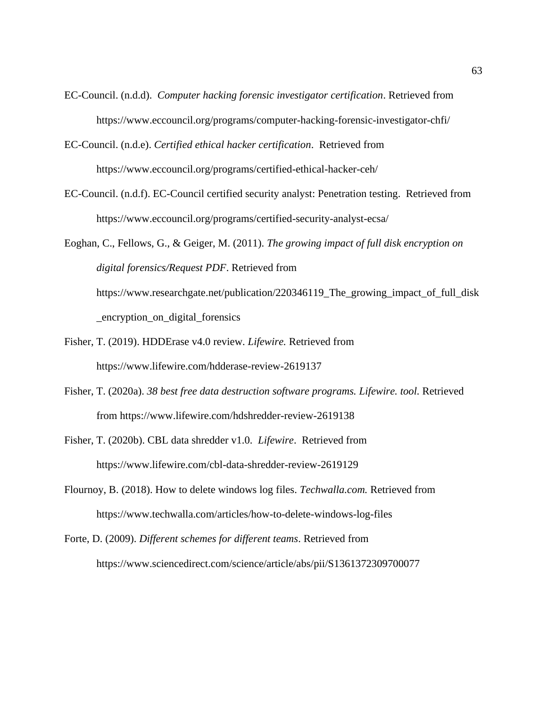- EC-Council. (n.d.d). *Computer hacking forensic investigator certification*. Retrieved from https://www.eccouncil.org/programs/computer-hacking-forensic-investigator-chfi/
- EC-Council. (n.d.e). *Certified ethical hacker certification*. Retrieved from https://www.eccouncil.org/programs/certified-ethical-hacker-ceh/
- EC-Council. (n.d.f). EC-Council certified security analyst: Penetration testing. Retrieved from https://www.eccouncil.org/programs/certified-security-analyst-ecsa/

Eoghan, C., Fellows, G., & Geiger, M. (2011). *The growing impact of full disk encryption on digital forensics/Request PDF*. Retrieved from https://www.researchgate.net/publication/220346119\_The\_growing\_impact\_of\_full\_disk \_encryption\_on\_digital\_forensics

- [Fisher, T. \(2019\). H](https://www.zotero.org/google-docs/?SUHEWz)DDErase v4.0 review. *Lifewire.* Retrieved from https://www.lifewire.com/hdderase-review-2619137
- [Fisher, T. \(2020a\).](https://www.zotero.org/google-docs/?SUHEWz) *[38 best free data destruction software programs.](https://www.zotero.org/google-docs/?SUHEWz) Lifewire. tool.* Retrieved from https://www.lifewire.com/hdshredder-review-2619138
- [Fisher, T. \(2020b\). C](https://www.zotero.org/google-docs/?SUHEWz)BL data shredder v1.0. *Lifewire*. Retrieved from https://www.lifewire.com/cbl-data-shredder-review-2619129
- [Flournoy, B. \(2018\). How to delete windows log files.](https://www.zotero.org/google-docs/?SUHEWz) *Techwalla.com.* Retrieved from https://www.techwalla.com/articles/how-to-delete-windows-log-files
- Forte, D. (2009). *Different schemes for different teams*. Retrieved from https://www.sciencedirect.com/science/article/abs/pii/S1361372309700077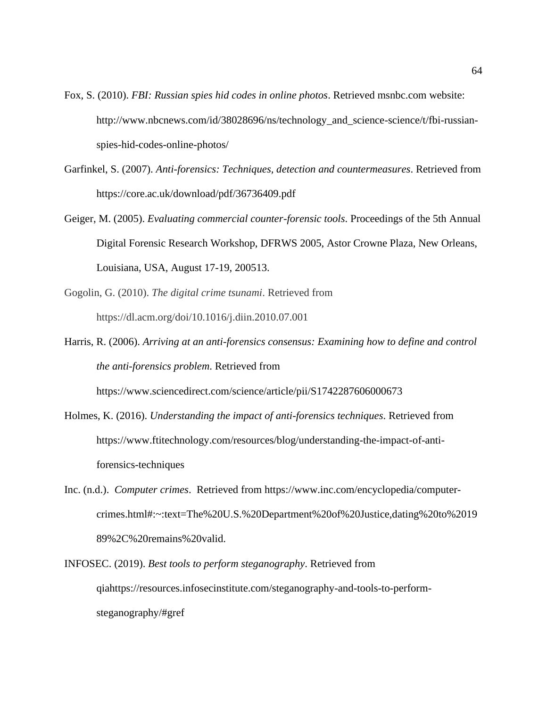- Fox, S. (2010). *FBI: Russian spies hid codes in online photos*. Retrieved msnbc.com website: http://www.nbcnews.com/id/38028696/ns/technology\_and\_science-science/t/fbi-russianspies-hid-codes-online-photos/
- Garfinkel, S. (2007). *Anti-forensics: Techniques, detection and countermeasures*. Retrieved from https://core.ac.uk/download/pdf/36736409.pdf
- Geiger, M. (2005). *Evaluating commercial counter-forensic tools*. Proceedings of the 5th Annual Digital Forensic Research Workshop, DFRWS 2005, Astor Crowne Plaza, New Orleans, Louisiana, USA, August 17-19, 200513.
- Gogolin, G. (2010). *The digital crime tsunami*. Retrieved from https://dl.acm.org/doi/10.1016/j.diin.2010.07.001
- Harris, R. (2006). *Arriving at an anti-forensics consensus: Examining how to define and control the anti-forensics problem*. Retrieved from https://www.sciencedirect.com/science/article/pii/S1742287606000673
- Holmes, K. (2016). *Understanding the impact of anti-forensics techniques*. Retrieved from https://www.ftitechnology.com/resources/blog/understanding-the-impact-of-antiforensics-techniques
- Inc. (n.d.). *Computer crimes*. Retrieved from https://www.inc.com/encyclopedia/computercrimes.html#:~:text=The%20U.S.%20Department%20of%20Justice,dating%20to%2019 89%2C%20remains%20valid.
- INFOSEC. (2019). *[Best tools to perform steganography](https://www.zotero.org/google-docs/?SUHEWz)*[. Retrieved from](https://www.zotero.org/google-docs/?SUHEWz)  [qiahttps://resources.infosecinstitute.com/steganography-and-tools-to-perform](https://www.zotero.org/google-docs/?SUHEWz)[steganography/#gref](https://www.zotero.org/google-docs/?SUHEWz)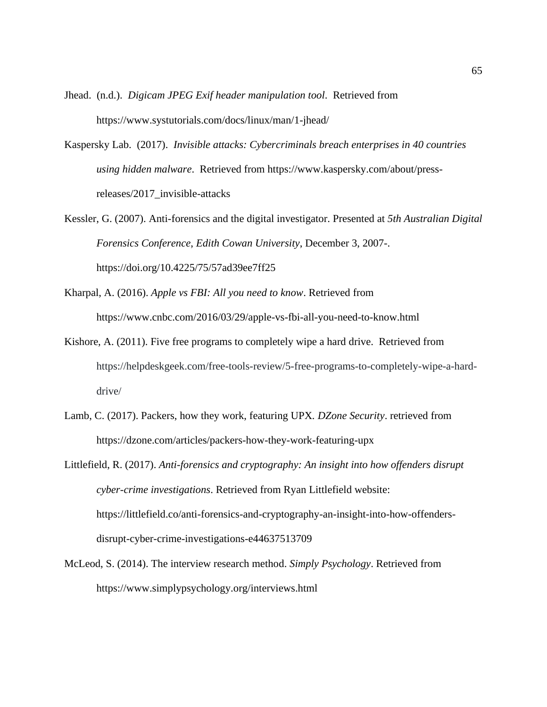Jhead. (n.d.). *Digicam JPEG Exif header manipulation tool*. Retrieved from https://www.systutorials.com/docs/linux/man/1-jhead/

- Kaspersky Lab. (2017). *Invisible attacks: Cybercriminals breach enterprises in 40 countries using hidden malware*. Retrieved from https://www.kaspersky.com/about/pressreleases/2017\_invisible-attacks
- Kessler, G. (2007). Anti-forensics and the digital investigator. Presented at *5th Australian Digital Forensics Conference*, *Edith Cowan University*, December 3, 2007-. https://doi.org/10.4225/75/57ad39ee7ff25
- Kharpal, A. (2016). *Apple vs FBI: All you need to know*. Retrieved from https://www.cnbc.com/2016/03/29/apple-vs-fbi-all-you-need-to-know.html
- Kishore, A. (2011). Five free programs to completely wipe a hard drive. Retrieved from https://helpdeskgeek.com/free-tools-review/5-free-programs-to-completely-wipe-a-harddrive/
- [Lamb, C. \(2017\). Packers, how they work, featuring UPX](https://www.zotero.org/google-docs/?SUHEWz)*. DZone Security*. retrieved from https://dzone.com/articles/packers-how-they-work-featuring-upx

Littlefield, R. (2017). *Anti-forensics and cryptography: An insight into how offenders disrupt cyber-crime investigations*. Retrieved from Ryan Littlefield website: https://littlefield.co/anti-forensics-and-cryptography-an-insight-into-how-offendersdisrupt-cyber-crime-investigations-e44637513709

[McLeod, S. \(2014\). The interview research method.](https://www.zotero.org/google-docs/?SUHEWz) *Simply Psychology*. Retrieved from https://www.simplypsychology.org/interviews.html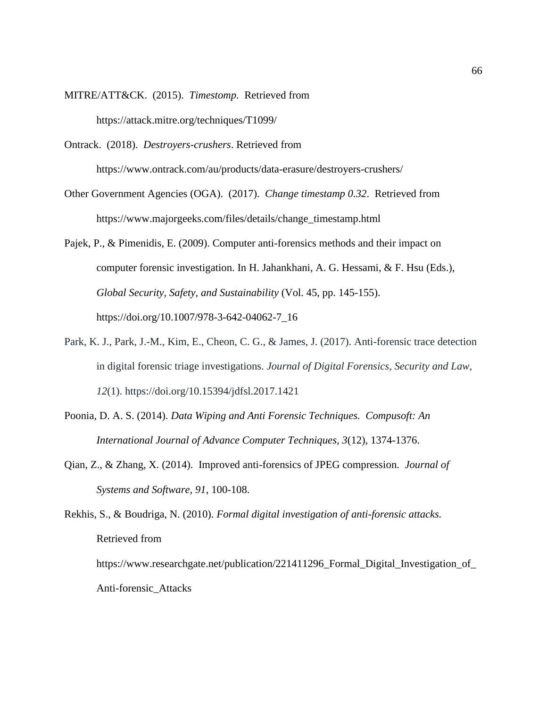- MITRE/ATT&CK. (2015). *Timestomp*. Retrieved from https://attack.mitre.org/techniques/T1099/
- Ontrack. (2018). *Destroyers-crushers*. Retrieved from https://www.ontrack.com/au/products/data-erasure/destroyers-crushers/
- Other Government Agencies (OGA). (2017). *Change timestamp 0.32*. Retrieved from https://www.majorgeeks.com/files/details/change\_timestamp.html
- Pajek, P., & Pimenidis, E. (2009). Computer anti-forensics methods and their impact on computer forensic investigation. In H. Jahankhani, A. G. Hessami, & F. Hsu (Eds.), *Global Security, Safety, and Sustainability* (Vol. 45, pp. 145-155). https://doi.org/10.1007/978-3-642-04062-7\_16
- Park, K. J., Park, J.-M., Kim, E., Cheon, C. G., & James, J. (2017). Anti-forensic trace detection in digital forensic triage investigations. *Journal of Digital Forensics, Security and Law, 12*(1). https://doi.org/10.15394/jdfsl.2017.1421
- [Poonia, D. A. S. \(2014\).](https://www.zotero.org/google-docs/?SUHEWz) *[Data Wiping and Anti Forensic Techniques.](https://www.zotero.org/google-docs/?SUHEWz) Compusoft: An International Journal of Advance Computer Techniques, 3*(12), 1374-1376.
- Qian, Z., & Zhang, X. (2014). Improved anti-forensics of JPEG compression. *Journal of Systems and Software, 91*, 100-108.
- Rekhis, S., & Boudriga, N. (2010). *Formal digital investigation of anti-forensic attacks.* Retrieved from https://www.researchgate.net/publication/221411296\_Formal\_Digital\_Investigation\_of\_

Anti-forensic\_Attacks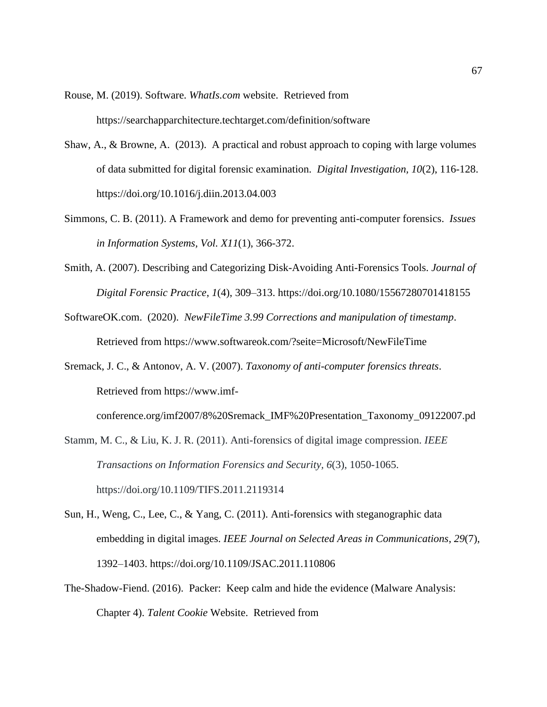[Rouse, M. \(2019\). S](https://www.zotero.org/google-docs/?SUHEWz)oftware. *[WhatIs.com](https://www.zotero.org/google-docs/?SUHEWz)* website. Retrieved from https://searchapparchitecture.techtarget.com/definition/software

- Shaw, A., & Browne, A. (2013). A practical and robust approach to coping with large volumes of data submitted for digital forensic examination. *Digital Investigation, 10*(2), 116-128. https://doi.org/10.1016/j.diin.2013.04.003
- Simmons, C. B. (2011). A Framework and demo for preventing anti-computer forensics. *Issues in Information Systems, Vol. X11*(1), 366-372.
- Smith, A. (2007). Describing and Categorizing Disk-Avoiding Anti-Forensics Tools. *Journal of Digital Forensic Practice*, *1*(4), 309–313. https://doi.org/10.1080/15567280701418155
- SoftwareOK.com. (2020). *NewFileTime 3.99 Corrections and manipulation of timestamp*. Retrieved from https://www.softwareok.com/?seite=Microsoft/NewFileTime
- Sremack, J. C., & Antonov, A. V. (2007). *Taxonomy of anti-computer forensics threats*. Retrieved from https://www.imf-

```
conference.org/imf2007/8%20Sremack_IMF%20Presentation_Taxonomy_09122007.pd
```
- Stamm, M. C., & Liu, K. J. R. (2011). Anti-forensics of digital image compression. *IEEE Transactions on Information Forensics and Security, 6*(3), 1050-1065. https://doi.org/10.1109/TIFS.2011.2119314
- Sun, H., Weng, C., Lee, C., & Yang, C. (2011). Anti-forensics with steganographic data embedding in digital images. *IEEE Journal on Selected Areas in Communications*, *29*(7), 1392–1403. https://doi.org/10.1109/JSAC.2011.110806
- The-Shadow-Fiend. (2016). Packer: Keep calm and hide the evidence (Malware Analysis: Chapter 4). *Talent Cookie* Website. Retrieved from